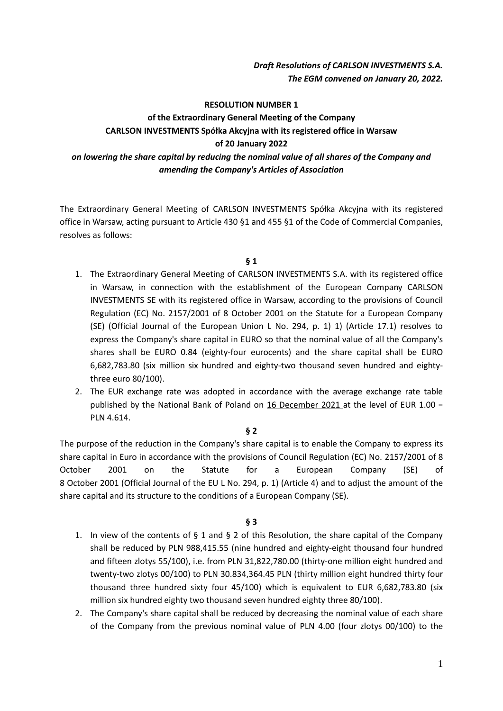# *Draft Resolutions of CARLSON INVESTMENTS S.A. The EGM convened on January 20, 2022.*

#### **RESOLUTION NUMBER 1**

# **of the Extraordinary General Meeting of the Company CARLSON INVESTMENTS Spółka Akcyjna with its registered office in Warsaw of 20 January 2022** *on lowering the share capital by reducing the nominal value of all shares of the Company and amending the Company's Articles of Association*

The Extraordinary General Meeting of CARLSON INVESTMENTS Spółka Akcyjna with its registered office in Warsaw, acting pursuant to Article 430 §1 and 455 §1 of the Code of Commercial Companies, resolves as follows:

#### **§ 1**

- 1. The Extraordinary General Meeting of CARLSON INVESTMENTS S.A. with its registered office in Warsaw, in connection with the establishment of the European Company CARLSON INVESTMENTS SE with its registered office in Warsaw, according to the provisions of Council Regulation (EC) No. 2157/2001 of 8 October 2001 on the Statute for a European Company (SE) (Official Journal of the European Union L No. 294, p. 1) 1) (Article 17.1) resolves to express the Company's share capital in EURO so that the nominal value of all the Company's shares shall be EURO 0.84 (eighty-four eurocents) and the share capital shall be EURO 6,682,783.80 (six million six hundred and eighty-two thousand seven hundred and eightythree euro 80/100).
- 2. The EUR exchange rate was adopted in accordance with the average exchange rate table published by the National Bank of Poland on 16 December 2021 at the level of EUR 1.00 = PLN 4.614.

### **§ 2**

The purpose of the reduction in the Company's share capital is to enable the Company to express its share capital in Euro in accordance with the provisions of Council Regulation (EC) No. 2157/2001 of 8 October 2001 on the Statute for a European Company (SE) of 8 October 2001 (Official Journal of the EU L No. 294, p. 1) (Article 4) and to adjust the amount of the share capital and its structure to the conditions of a European Company (SE).

- 1. In view of the contents of  $\S$  1 and  $\S$  2 of this Resolution, the share capital of the Company shall be reduced by PLN 988,415.55 (nine hundred and eighty-eight thousand four hundred and fifteen zlotys 55/100), i.e. from PLN 31,822,780.00 (thirty-one million eight hundred and twenty-two zlotys 00/100) to PLN 30.834,364.45 PLN (thirty million eight hundred thirty four thousand three hundred sixty four 45/100) which is equivalent to EUR 6,682,783.80 (six million six hundred eighty two thousand seven hundred eighty three 80/100).
- 2. The Company's share capital shall be reduced by decreasing the nominal value of each share of the Company from the previous nominal value of PLN 4.00 (four zlotys 00/100) to the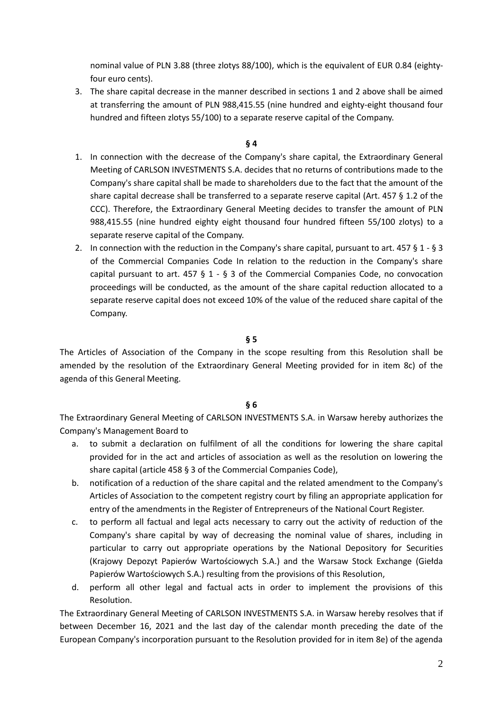nominal value of PLN 3.88 (three zlotys 88/100), which is the equivalent of EUR 0.84 (eightyfour euro cents).

3. The share capital decrease in the manner described in sections 1 and 2 above shall be aimed at transferring the amount of PLN 988,415.55 (nine hundred and eighty-eight thousand four hundred and fifteen zlotys 55/100) to a separate reserve capital of the Company.

### **§ 4**

- 1. In connection with the decrease of the Company's share capital, the Extraordinary General Meeting of CARLSON INVESTMENTS S.A. decides that no returns of contributions made to the Company's share capital shall be made to shareholders due to the fact that the amount of the share capital decrease shall be transferred to a separate reserve capital (Art. 457 § 1.2 of the CCC). Therefore, the Extraordinary General Meeting decides to transfer the amount of PLN 988,415.55 (nine hundred eighty eight thousand four hundred fifteen 55/100 zlotys) to a separate reserve capital of the Company.
- 2. In connection with the reduction in the Company's share capital, pursuant to art. 457 § 1 § 3 of the Commercial Companies Code In relation to the reduction in the Company's share capital pursuant to art.  $457 \t{5} 1 - 53$  of the Commercial Companies Code, no convocation proceedings will be conducted, as the amount of the share capital reduction allocated to a separate reserve capital does not exceed 10% of the value of the reduced share capital of the Company.

### **§ 5**

The Articles of Association of the Company in the scope resulting from this Resolution shall be amended by the resolution of the Extraordinary General Meeting provided for in item 8c) of the agenda of this General Meeting.

#### **§ 6**

The Extraordinary General Meeting of CARLSON INVESTMENTS S.A. in Warsaw hereby authorizes the Company's Management Board to

- a. to submit a declaration on fulfilment of all the conditions for lowering the share capital provided for in the act and articles of association as well as the resolution on lowering the share capital (article 458 § 3 of the Commercial Companies Code),
- b. notification of a reduction of the share capital and the related amendment to the Company's Articles of Association to the competent registry court by filing an appropriate application for entry of the amendments in the Register of Entrepreneurs of the National Court Register.
- c. to perform all factual and legal acts necessary to carry out the activity of reduction of the Company's share capital by way of decreasing the nominal value of shares, including in particular to carry out appropriate operations by the National Depository for Securities (Krajowy Depozyt Papierów Wartościowych S.A.) and the Warsaw Stock Exchange (Giełda Papierów Wartościowych S.A.) resulting from the provisions of this Resolution,
- d. perform all other legal and factual acts in order to implement the provisions of this Resolution.

The Extraordinary General Meeting of CARLSON INVESTMENTS S.A. in Warsaw hereby resolves that if between December 16, 2021 and the last day of the calendar month preceding the date of the European Company's incorporation pursuant to the Resolution provided for in item 8e) of the agenda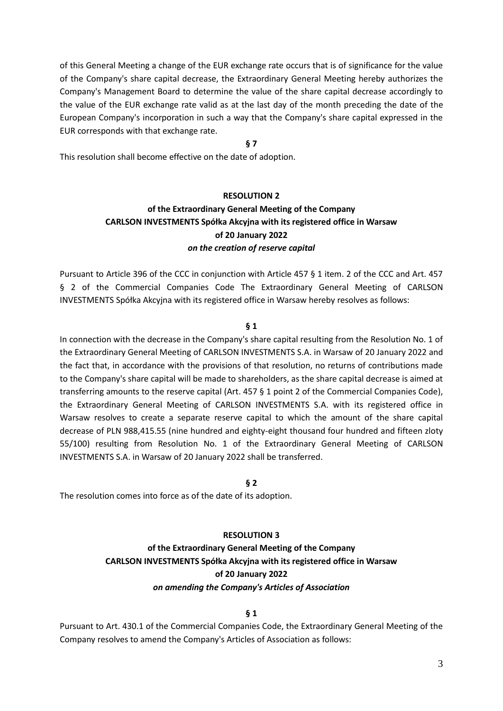of this General Meeting a change of the EUR exchange rate occurs that is of significance for the value of the Company's share capital decrease, the Extraordinary General Meeting hereby authorizes the Company's Management Board to determine the value of the share capital decrease accordingly to the value of the EUR exchange rate valid as at the last day of the month preceding the date of the European Company's incorporation in such a way that the Company's share capital expressed in the EUR corresponds with that exchange rate.

### **§ 7**

This resolution shall become effective on the date of adoption.

### **RESOLUTION 2**

# **of the Extraordinary General Meeting of the Company CARLSON INVESTMENTS Spółka Akcyjna with its registered office in Warsaw of 20 January 2022** *on the creation of reserve capital*

Pursuant to Article 396 of the CCC in conjunction with Article 457 § 1 item. 2 of the CCC and Art. 457 § 2 of the Commercial Companies Code The Extraordinary General Meeting of CARLSON INVESTMENTS Spółka Akcyjna with its registered office in Warsaw hereby resolves as follows:

### **§ 1**

In connection with the decrease in the Company's share capital resulting from the Resolution No. 1 of the Extraordinary General Meeting of CARLSON INVESTMENTS S.A. in Warsaw of 20 January 2022 and the fact that, in accordance with the provisions of that resolution, no returns of contributions made to the Company's share capital will be made to shareholders, as the share capital decrease is aimed at transferring amounts to the reserve capital (Art. 457 § 1 point 2 of the Commercial Companies Code), the Extraordinary General Meeting of CARLSON INVESTMENTS S.A. with its registered office in Warsaw resolves to create a separate reserve capital to which the amount of the share capital decrease of PLN 988,415.55 (nine hundred and eighty-eight thousand four hundred and fifteen zloty 55/100) resulting from Resolution No. 1 of the Extraordinary General Meeting of CARLSON INVESTMENTS S.A. in Warsaw of 20 January 2022 shall be transferred.

### **§ 2**

The resolution comes into force as of the date of its adoption.

# **RESOLUTION 3**

# **of the Extraordinary General Meeting of the Company CARLSON INVESTMENTS Spółka Akcyjna with its registered office in Warsaw of 20 January 2022** *on amending the Company's Articles of Association*

### **§ 1**

Pursuant to Art. 430.1 of the Commercial Companies Code, the Extraordinary General Meeting of the Company resolves to amend the Company's Articles of Association as follows: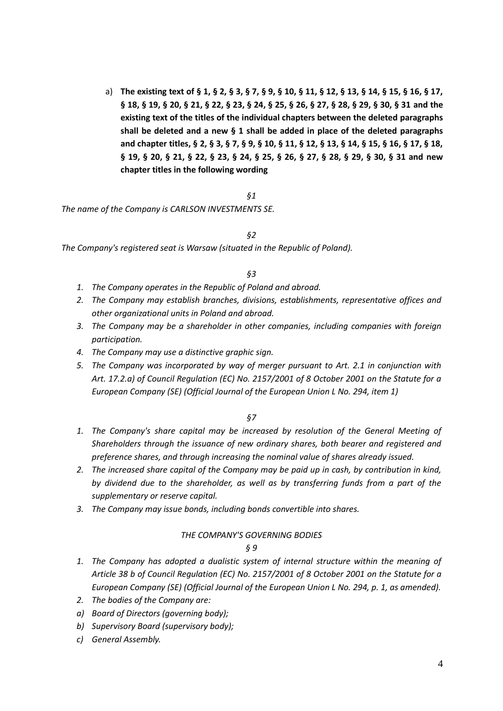a) **The existing text of § 1, § 2, § 3, § 7, § 9, § 10, § 11, § 12, § 13, § 14, § 15, § 16, § 17, § 18, § 19, § 20, § 21, § 22, § 23, § 24, § 25, § 26, § 27, § 28, § 29, § 30, § 31 and the existing text of the titles of the individual chapters between the deleted paragraphs shall be deleted and a new § 1 shall be added in place of the deleted paragraphs and chapter titles, § 2, § 3, § 7, § 9, § 10, § 11, § 12, § 13, § 14, § 15, § 16, § 17, § 18, § 19, § 20, § 21, § 22, § 23, § 24, § 25, § 26, § 27, § 28, § 29, § 30, § 31 and new chapter titles in the following wording**

#### *§1*

*The name of the Company is CARLSON INVESTMENTS SE.*

#### *§2*

*The Company's registered seat is Warsaw (situated in the Republic of Poland).*

#### *§3*

- *1. The Company operates in the Republic of Poland and abroad.*
- *2. The Company may establish branches, divisions, establishments, representative offices and other organizational units in Poland and abroad.*
- *3. The Company may be a shareholder in other companies, including companies with foreign participation.*
- *4. The Company may use a distinctive graphic sign.*
- *5. The Company was incorporated by way of merger pursuant to Art. 2.1 in conjunction with Art. 17.2.a) of Council Regulation (EC) No. 2157/2001 of 8 October 2001 on the Statute for a European Company (SE) (Official Journal of the European Union L No. 294, item 1)*

#### *§7*

- 1. The Company's share capital may be increased by resolution of the General Meeting of *Shareholders through the issuance of new ordinary shares, both bearer and registered and preference shares, and through increasing the nominal value of shares already issued.*
- *2. The increased share capital of the Company may be paid up in cash, by contribution in kind, by dividend due to the shareholder, as well as by transferring funds from a part of the supplementary or reserve capital.*
- *3. The Company may issue bonds, including bonds convertible into shares.*

#### *THE COMPANY'S GOVERNING BODIES*

- *1. The Company has adopted a dualistic system of internal structure within the meaning of Article 38 b of Council Regulation (EC) No. 2157/2001 of 8 October 2001 on the Statute for a European Company (SE) (Official Journal of the European Union L No. 294, p. 1, as amended).*
- *2. The bodies of the Company are:*
- *a) Board of Directors (governing body);*
- *b) Supervisory Board (supervisory body);*
- *c) General Assembly.*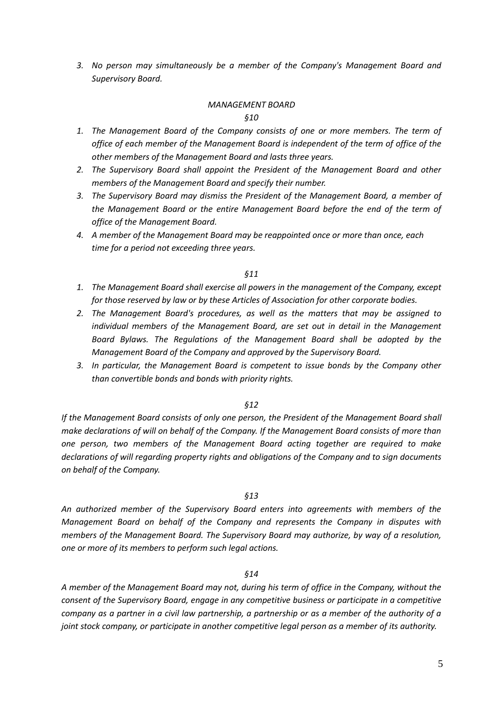*3. No person may simultaneously be a member of the Company's Management Board and Supervisory Board.*

### *MANAGEMENT BOARD*

*§10*

- *1. The Management Board of the Company consists of one or more members. The term of office of each member of the Management Board is independent of the term of office of the other members of the Management Board and lasts three years.*
- *2. The Supervisory Board shall appoint the President of the Management Board and other members of the Management Board and specify their number.*
- *3. The Supervisory Board may dismiss the President of the Management Board, a member of the Management Board or the entire Management Board before the end of the term of office of the Management Board.*
- *4. A member of the Management Board may be reappointed once or more than once, each time for a period not exceeding three years.*

#### *§11*

- *1. The Management Board shall exercise all powers in the management of the Company, except for those reserved by law or by these Articles of Association for other corporate bodies.*
- *2. The Management Board's procedures, as well as the matters that may be assigned to individual members of the Management Board, are set out in detail in the Management Board Bylaws. The Regulations of the Management Board shall be adopted by the Management Board of the Company and approved by the Supervisory Board.*
- *3. In particular, the Management Board is competent to issue bonds by the Company other than convertible bonds and bonds with priority rights.*

#### *§12*

*If the Management Board consists of only one person, the President of the Management Board shall make declarations of will on behalf of the Company. If the Management Board consists of more than one person, two members of the Management Board acting together are required to make declarations of will regarding property rights and obligations of the Company and to sign documents on behalf of the Company.*

#### *§13*

*An authorized member of the Supervisory Board enters into agreements with members of the Management Board on behalf of the Company and represents the Company in disputes with members of the Management Board. The Supervisory Board may authorize, by way of a resolution, one or more of its members to perform such legal actions.*

#### *§14*

*A member of the Management Board may not, during his term of office in the Company, without the consent of the Supervisory Board, engage in any competitive business or participate in a competitive company as a partner in a civil law partnership, a partnership or as a member of the authority of a joint stock company, or participate in another competitive legal person as a member of its authority.*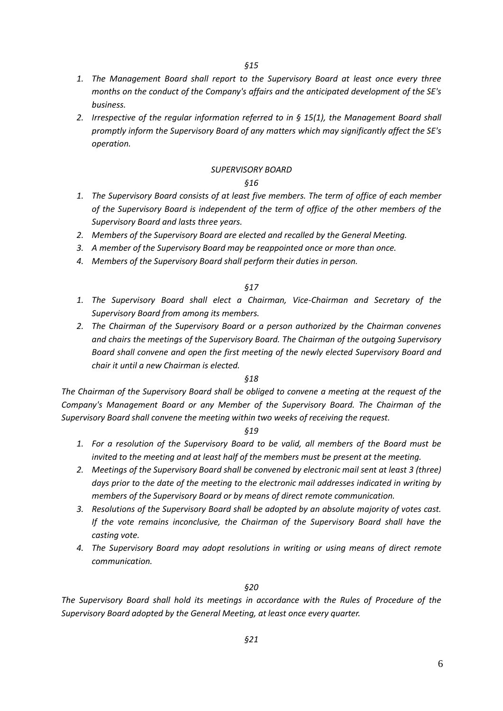- *1. The Management Board shall report to the Supervisory Board at least once every three months on the conduct of the Company's affairs and the anticipated development of the SE's business.*
- *2. Irrespective of the regular information referred to in § 15(1), the Management Board shall promptly inform the Supervisory Board of any matters which may significantly affect the SE's operation.*

#### *SUPERVISORY BOARD*

#### *§16*

- *1. The Supervisory Board consists of at least five members. The term of office of each member of the Supervisory Board is independent of the term of office of the other members of the Supervisory Board and lasts three years.*
- *2. Members of the Supervisory Board are elected and recalled by the General Meeting.*
- 3. A member of the Supervisory Board may be reappointed once or more than once.
- *4. Members of the Supervisory Board shall perform their duties in person.*

#### *§17*

- *1. The Supervisory Board shall elect a Chairman, Vice-Chairman and Secretary of the Supervisory Board from among its members.*
- *2. The Chairman of the Supervisory Board or a person authorized by the Chairman convenes and chairs the meetings of the Supervisory Board. The Chairman of the outgoing Supervisory Board shall convene and open the first meeting of the newly elected Supervisory Board and chair it until a new Chairman is elected.*

#### *§18*

*The Chairman of the Supervisory Board shall be obliged to convene a meeting at the request of the Company's Management Board or any Member of the Supervisory Board. The Chairman of the Supervisory Board shall convene the meeting within two weeks of receiving the request.*

#### *§19*

- *1. For a resolution of the Supervisory Board to be valid, all members of the Board must be invited to the meeting and at least half of the members must be present at the meeting.*
- *2. Meetings of the Supervisory Board shall be convened by electronic mail sent at least 3 (three) days prior to the date of the meeting to the electronic mail addresses indicated in writing by members of the Supervisory Board or by means of direct remote communication.*
- *3. Resolutions of the Supervisory Board shall be adopted by an absolute majority of votes cast. If the vote remains inconclusive, the Chairman of the Supervisory Board shall have the casting vote.*
- *4. The Supervisory Board may adopt resolutions in writing or using means of direct remote communication.*

#### *§20*

*The Supervisory Board shall hold its meetings in accordance with the Rules of Procedure of the Supervisory Board adopted by the General Meeting, at least once every quarter.*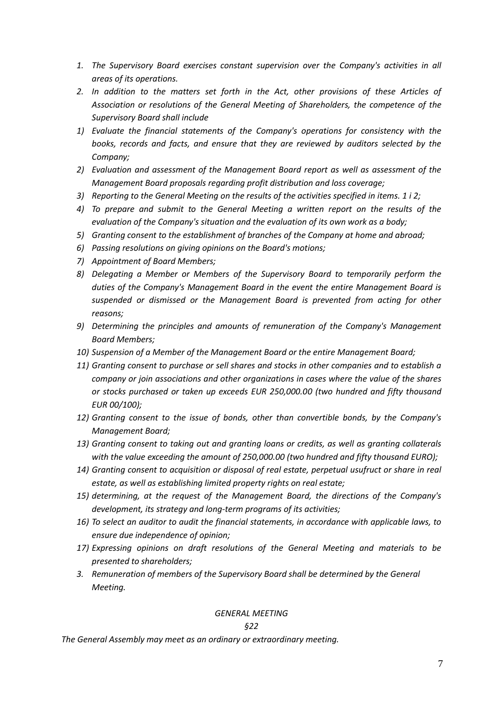- *1. The Supervisory Board exercises constant supervision over the Company's activities in all areas of its operations.*
- *2. In addition to the matters set forth in the Act, other provisions of these Articles of Association or resolutions of the General Meeting of Shareholders, the competence of the Supervisory Board shall include*
- *1) Evaluate the financial statements of the Company's operations for consistency with the books, records and facts, and ensure that they are reviewed by auditors selected by the Company;*
- *2) Evaluation and assessment of the Management Board report as well as assessment of the Management Board proposals regarding profit distribution and loss coverage;*
- *3) Reporting to the General Meeting on the results of the activities specified in items. 1 i 2;*
- *4) To prepare and submit to the General Meeting a written report on the results of the evaluation of the Company's situation and the evaluation of its own work as a body;*
- *5) Granting consent to the establishment of branches of the Company at home and abroad;*
- *6) Passing resolutions on giving opinions on the Board's motions;*
- *7) Appointment of Board Members;*
- *8) Delegating a Member or Members of the Supervisory Board to temporarily perform the duties of the Company's Management Board in the event the entire Management Board is suspended or dismissed or the Management Board is prevented from acting for other reasons;*
- *9) Determining the principles and amounts of remuneration of the Company's Management Board Members;*
- *10) Suspension of a Member of the Management Board or the entire Management Board;*
- *11) Granting consent to purchase or sell shares and stocks in other companies and to establish a company or join associations and other organizations in cases where the value of the shares or stocks purchased or taken up exceeds EUR 250,000.00 (two hundred and fifty thousand EUR 00/100);*
- *12) Granting consent to the issue of bonds, other than convertible bonds, by the Company's Management Board;*
- *13) Granting consent to taking out and granting loans or credits, as well as granting collaterals with the value exceeding the amount of 250,000.00 (two hundred and fifty thousand EURO);*
- *14) Granting consent to acquisition or disposal of real estate, perpetual usufruct or share in real estate, as well as establishing limited property rights on real estate;*
- *15) determining, at the request of the Management Board, the directions of the Company's development, its strategy and long-term programs of its activities;*
- *16) To select an auditor to audit the financial statements, in accordance with applicable laws, to ensure due independence of opinion;*
- *17) Expressing opinions on draft resolutions of the General Meeting and materials to be presented to shareholders;*
- *3. Remuneration of members of the Supervisory Board shall be determined by the General Meeting.*

### *GENERAL MEETING*

### *§22*

*The General Assembly may meet as an ordinary or extraordinary meeting.*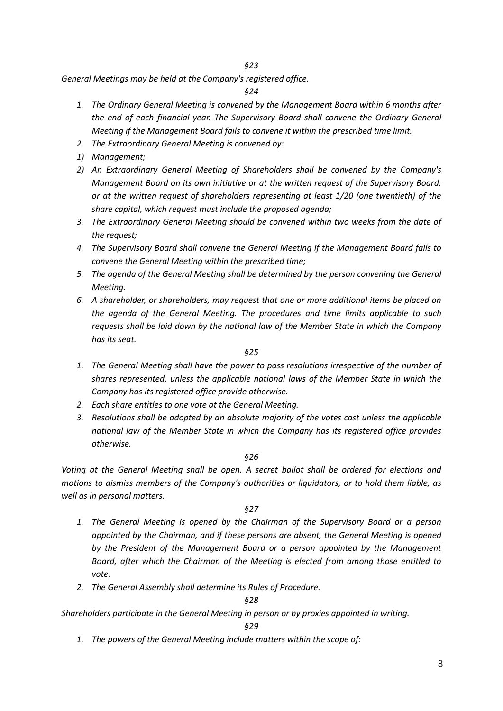*§23*

*General Meetings may be held at the Company's registered office.*

*§24*

- *1. The Ordinary General Meeting is convened by the Management Board within 6 months after the end of each financial year. The Supervisory Board shall convene the Ordinary General Meeting if the Management Board fails to convene it within the prescribed time limit.*
- *2. The Extraordinary General Meeting is convened by:*
- *1) Management;*
- *2) An Extraordinary General Meeting of Shareholders shall be convened by the Company's Management Board on its own initiative or at the written request of the Supervisory Board, or at the written request of shareholders representing at least 1/20 (one twentieth) of the share capital, which request must include the proposed agenda;*
- *3. The Extraordinary General Meeting should be convened within two weeks from the date of the request;*
- *4. The Supervisory Board shall convene the General Meeting if the Management Board fails to convene the General Meeting within the prescribed time;*
- *5. The agenda of the General Meeting shall be determined by the person convening the General Meeting.*
- *6. A shareholder, or shareholders, may request that one or more additional items be placed on the agenda of the General Meeting. The procedures and time limits applicable to such requests shall be laid down by the national law of the Member State in which the Company has its seat.*

*§25*

- *1. The General Meeting shall have the power to pass resolutions irrespective of the number of shares represented, unless the applicable national laws of the Member State in which the Company has its registered office provide otherwise.*
- *2. Each share entitles to one vote at the General Meeting.*
- *3. Resolutions shall be adopted by an absolute majority of the votes cast unless the applicable national law of the Member State in which the Company has its registered office provides otherwise.*

#### *§26*

*Voting at the General Meeting shall be open. A secret ballot shall be ordered for elections and motions to dismiss members of the Company's authorities or liquidators, or to hold them liable, as well as in personal matters.*

#### *§27*

- *1. The General Meeting is opened by the Chairman of the Supervisory Board or a person appointed by the Chairman, and if these persons are absent, the General Meeting is opened by the President of the Management Board or a person appointed by the Management Board, after which the Chairman of the Meeting is elected from among those entitled to vote.*
- *2. The General Assembly shall determine its Rules of Procedure.*

#### *§28*

*Shareholders participate in the General Meeting in person or by proxies appointed in writing.*

*§29*

*1. The powers of the General Meeting include matters within the scope of:*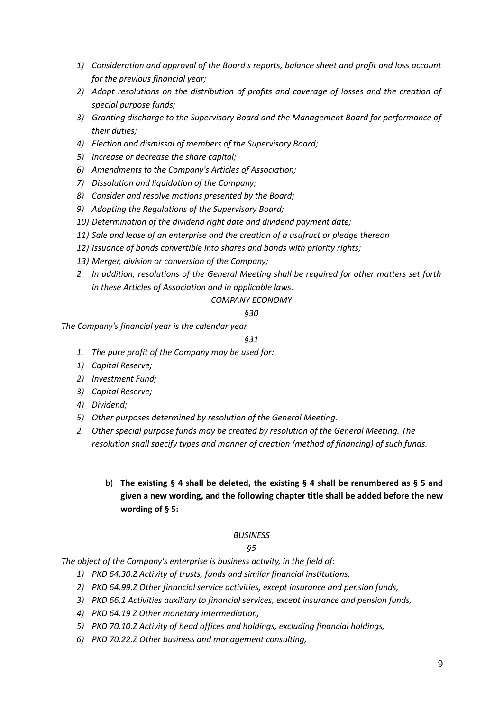- *1) Consideration and approval of the Board's reports, balance sheet and profit and loss account for the previous financial year;*
- *2) Adopt resolutions on the distribution of profits and coverage of losses and the creation of special purpose funds;*
- *3) Granting discharge to the Supervisory Board and the Management Board for performance of their duties;*
- *4) Election and dismissal of members of the Supervisory Board;*
- *5) Increase or decrease the share capital;*
- *6) Amendments to the Company's Articles of Association;*
- *7) Dissolution and liquidation of the Company;*
- *8) Consider and resolve motions presented by the Board;*
- *9) Adopting the Regulations of the Supervisory Board;*
- *10) Determination of the dividend right date and dividend payment date;*
- *11) Sale and lease of an enterprise and the creation of a usufruct or pledge thereon*
- *12) Issuance of bonds convertible into shares and bonds with priority rights;*
- *13) Merger, division or conversion of the Company;*
- *2. In addition, resolutions of the General Meeting shall be required for other matters set forth in these Articles of Association and in applicable laws.*

# *COMPANY ECONOMY*

# *§30*

*The Company's financial year is the calendar year.*

# *§31*

- *1. The pure profit of the Company may be used for:*
- *1) Capital Reserve;*
- *2) Investment Fund;*
- *3) Capital Reserve;*
- *4) Dividend;*
- *5) Other purposes determined by resolution of the General Meeting.*
- *2. Other special purpose funds may be created by resolution of the General Meeting. The resolution shall specify types and manner of creation (method of financing) of such funds.*

# b) **The existing § 4 shall be deleted, the existing § 4 shall be renumbered as § 5 and given a new wording, and the following chapter title shall be added before the new wording of § 5:**

# *BUSINESS*

# *§5*

*The object of the Company's enterprise is business activity, in the field of:* 

- *1) PKD 64.30.Z Activity of trusts, funds and similar financial institutions,*
- *2) PKD 64.99.Z Other financial service activities, except insurance and pension funds,*
- *3) PKD 66.1 Activities auxiliary to financial services, except insurance and pension funds,*
- *4) PKD 64.19 Z Other monetary intermediation,*
- *5) PKD 70.10.Z Activity of head offices and holdings, excluding financial holdings,*
- *6) PKD 70.22.Z Other business and management consulting,*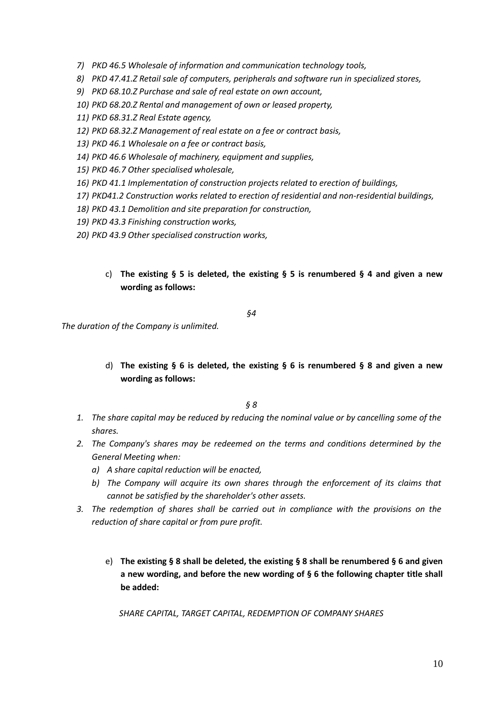- *7) PKD 46.5 Wholesale of information and communication technology tools,*
- *8) PKD 47.41.Z Retail sale of computers, peripherals and software run in specialized stores,*
- *9) PKD 68.10.Z Purchase and sale of real estate on own account,*
- *10) PKD 68.20.Z Rental and management of own or leased property,*
- *11) PKD 68.31.Z Real Estate agency,*
- *12) PKD 68.32.Z Management of real estate on a fee or contract basis,*
- *13) PKD 46.1 Wholesale on a fee or contract basis,*
- *14) PKD 46.6 Wholesale of machinery, equipment and supplies,*
- *15) PKD 46.7 Other specialised wholesale,*
- *16) PKD 41.1 Implementation of construction projects related to erection of buildings,*
- *17) PKD41.2 Construction works related to erection of residential and non-residential buildings,*
- *18) PKD 43.1 Demolition and site preparation for construction,*
- *19) PKD 43.3 Finishing construction works,*
- *20) PKD 43.9 Other specialised construction works,*
	- c) **The existing § 5 is deleted, the existing § 5 is renumbered § 4 and given a new wording as follows:**

*§4*

*The duration of the Company is unlimited.*

d) **The existing § 6 is deleted, the existing § 6 is renumbered § 8 and given a new wording as follows:**

*§ 8*

- *1. The share capital may be reduced by reducing the nominal value or by cancelling some of the shares.*
- *2. The Company's shares may be redeemed on the terms and conditions determined by the General Meeting when:*
	- *a) A share capital reduction will be enacted,*
	- *b) The Company will acquire its own shares through the enforcement of its claims that cannot be satisfied by the shareholder's other assets.*
- *3. The redemption of shares shall be carried out in compliance with the provisions on the reduction of share capital or from pure profit.*
	- e) **The existing § 8 shall be deleted, the existing § 8 shall be renumbered § 6 and given a new wording, and before the new wording of § 6 the following chapter title shall be added:**

*SHARE CAPITAL, TARGET CAPITAL, REDEMPTION OF COMPANY SHARES*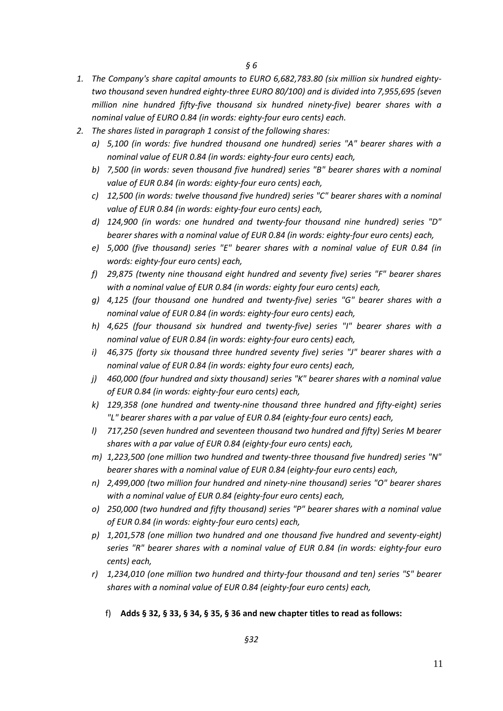- *1. The Company's share capital amounts to EURO 6,682,783.80 (six million six hundred eightytwo thousand seven hundred eighty-three EURO 80/100) and is divided into 7,955,695 (seven million nine hundred fifty-five thousand six hundred ninety-five) bearer shares with a nominal value of EURO 0.84 (in words: eighty-four euro cents) each.*
- *2. The shares listed in paragraph 1 consist of the following shares:* 
	- *a) 5,100 (in words: five hundred thousand one hundred) series "A" bearer shares with a nominal value of EUR 0.84 (in words: eighty-four euro cents) each,*
	- *b) 7,500 (in words: seven thousand five hundred) series "B" bearer shares with a nominal value of EUR 0.84 (in words: eighty-four euro cents) each,*
	- *c) 12,500 (in words: twelve thousand five hundred) series "C" bearer shares with a nominal value of EUR 0.84 (in words: eighty-four euro cents) each,*
	- *d) 124,900 (in words: one hundred and twenty-four thousand nine hundred) series "D" bearer shares with a nominal value of EUR 0.84 (in words: eighty-four euro cents) each,*
	- *e) 5,000 (five thousand) series "E" bearer shares with a nominal value of EUR 0.84 (in words: eighty-four euro cents) each,*
	- *f) 29,875 (twenty nine thousand eight hundred and seventy five) series "F" bearer shares with a nominal value of EUR 0.84 (in words: eighty four euro cents) each,*
	- *g) 4,125 (four thousand one hundred and twenty-five) series "G" bearer shares with a nominal value of EUR 0.84 (in words: eighty-four euro cents) each,*
	- *h) 4,625 (four thousand six hundred and twenty-five) series "I" bearer shares with a nominal value of EUR 0.84 (in words: eighty-four euro cents) each,*
	- *i) 46,375 (forty six thousand three hundred seventy five) series "J" bearer shares with a nominal value of EUR 0.84 (in words: eighty four euro cents) each,*
	- *j) 460,000 (four hundred and sixty thousand) series "K" bearer shares with a nominal value of EUR 0.84 (in words: eighty-four euro cents) each,*
	- *k) 129,358 (one hundred and twenty-nine thousand three hundred and fifty-eight) series "L" bearer shares with a par value of EUR 0.84 (eighty-four euro cents) each,*
	- *l) 717,250 (seven hundred and seventeen thousand two hundred and fifty) Series M bearer shares with a par value of EUR 0.84 (eighty-four euro cents) each,*
	- *m) 1,223,500 (one million two hundred and twenty-three thousand five hundred) series "N" bearer shares with a nominal value of EUR 0.84 (eighty-four euro cents) each,*
	- *n) 2,499,000 (two million four hundred and ninety-nine thousand) series "O" bearer shares with a nominal value of EUR 0.84 (eighty-four euro cents) each,*
	- *o) 250,000 (two hundred and fifty thousand) series "P" bearer shares with a nominal value of EUR 0.84 (in words: eighty-four euro cents) each,*
	- *p) 1,201,578 (one million two hundred and one thousand five hundred and seventy-eight) series "R" bearer shares with a nominal value of EUR 0.84 (in words: eighty-four euro cents) each,*
	- *r) 1,234,010 (one million two hundred and thirty-four thousand and ten) series "S" bearer shares with a nominal value of EUR 0.84 (eighty-four euro cents) each,*
		- f) **Adds § 32, § 33, § 34, § 35, § 36 and new chapter titles to read as follows:**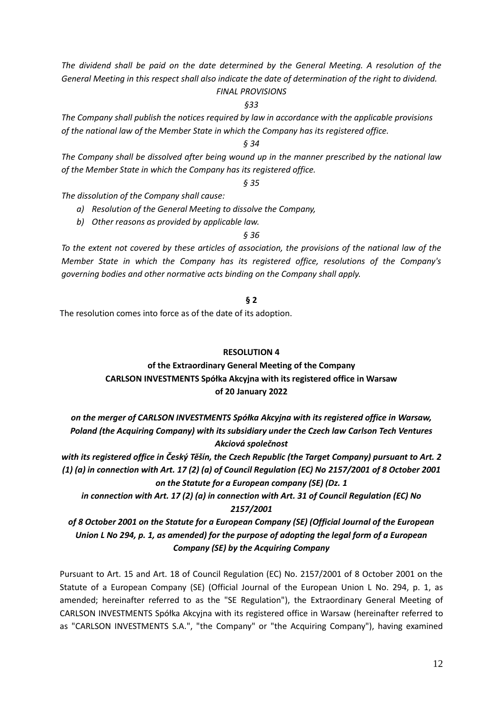*The dividend shall be paid on the date determined by the General Meeting. A resolution of the General Meeting in this respect shall also indicate the date of determination of the right to dividend.*

# *FINAL PROVISIONS*

*§33*

*The Company shall publish the notices required by law in accordance with the applicable provisions of the national law of the Member State in which the Company has its registered office.*

*§ 34*

*The Company shall be dissolved after being wound up in the manner prescribed by the national law of the Member State in which the Company has its registered office.* 

*§ 35*

*The dissolution of the Company shall cause:*

*a) Resolution of the General Meeting to dissolve the Company,*

*b) Other reasons as provided by applicable law.*

*§ 36*

*To the extent not covered by these articles of association, the provisions of the national law of the Member State in which the Company has its registered office, resolutions of the Company's governing bodies and other normative acts binding on the Company shall apply.*

**§ 2**

The resolution comes into force as of the date of its adoption.

### **RESOLUTION 4**

# **of the Extraordinary General Meeting of the Company CARLSON INVESTMENTS Spółka Akcyjna with its registered office in Warsaw of 20 January 2022**

*on the merger of CARLSON INVESTMENTS Spółka Akcyjna with its registered office in Warsaw, Poland (the Acquiring Company) with its subsidiary under the Czech law Carlson Tech Ventures Akciová společnost* 

*with its registered office in Český Těšín, the Czech Republic (the Target Company) pursuant to Art. 2 (1) (a) in connection with Art. 17 (2) (a) of Council Regulation (EC) No 2157/2001 of 8 October 2001 on the Statute for a European company (SE) (Dz. 1*

*in connection with Art. 17 (2) (a) in connection with Art. 31 of Council Regulation (EC) No 2157/2001*

*of 8 October 2001 on the Statute for a European Company (SE) (Official Journal of the European Union L No 294, p. 1, as amended) for the purpose of adopting the legal form of a European Company (SE) by the Acquiring Company*

Pursuant to Art. 15 and Art. 18 of Council Regulation (EC) No. 2157/2001 of 8 October 2001 on the Statute of a European Company (SE) (Official Journal of the European Union L No. 294, p. 1, as amended; hereinafter referred to as the "SE Regulation"), the Extraordinary General Meeting of CARLSON INVESTMENTS Spółka Akcyjna with its registered office in Warsaw (hereinafter referred to as "CARLSON INVESTMENTS S.A.", "the Company" or "the Acquiring Company"), having examined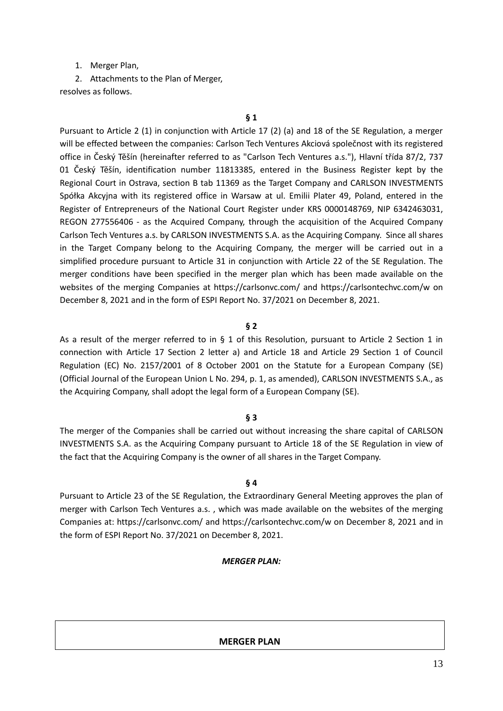### 1. Merger Plan,

2. Attachments to the Plan of Merger, resolves as follows.

Pursuant to Article 2 (1) in conjunction with Article 17 (2) (a) and 18 of the SE Regulation, a merger will be effected between the companies: Carlson Tech Ventures Akciová společnost with its registered office in Český Těšín (hereinafter referred to as "Carlson Tech Ventures a.s."), Hlavní třída 87/2, 737 01 Český Těšín, identification number 11813385, entered in the Business Register kept by the Regional Court in Ostrava, section B tab 11369 as the Target Company and CARLSON INVESTMENTS Spółka Akcyjna with its registered office in Warsaw at ul. Emilii Plater 49, Poland, entered in the Register of Entrepreneurs of the National Court Register under KRS 0000148769, NIP 6342463031, REGON 277556406 - as the Acquired Company, through the acquisition of the Acquired Company Carlson Tech Ventures a.s. by CARLSON INVESTMENTS S.A. as the Acquiring Company. Since all shares in the Target Company belong to the Acquiring Company, the merger will be carried out in a simplified procedure pursuant to Article 31 in conjunction with Article 22 of the SE Regulation. The merger conditions have been specified in the merger plan which has been made available on the websites of the merging Companies at https://carlsonvc.com/ and https://carlsontechvc.com/w on December 8, 2021 and in the form of ESPI Report No. 37/2021 on December 8, 2021.

#### **§ 2**

As a result of the merger referred to in § 1 of this Resolution, pursuant to Article 2 Section 1 in connection with Article 17 Section 2 letter a) and Article 18 and Article 29 Section 1 of Council Regulation (EC) No. 2157/2001 of 8 October 2001 on the Statute for a European Company (SE) (Official Journal of the European Union L No. 294, p. 1, as amended), CARLSON INVESTMENTS S.A., as the Acquiring Company, shall adopt the legal form of a European Company (SE).

### **§ 3**

The merger of the Companies shall be carried out without increasing the share capital of CARLSON INVESTMENTS S.A. as the Acquiring Company pursuant to Article 18 of the SE Regulation in view of the fact that the Acquiring Company is the owner of all shares in the Target Company.

### **§ 4**

Pursuant to Article 23 of the SE Regulation, the Extraordinary General Meeting approves the plan of merger with Carlson Tech Ventures a.s. , which was made available on the websites of the merging Companies at: https://carlsonvc.com/ and https://carlsontechvc.com/w on December 8, 2021 and in the form of ESPI Report No. 37/2021 on December 8, 2021.

#### *MERGER PLAN:*

#### **MERGER PLAN**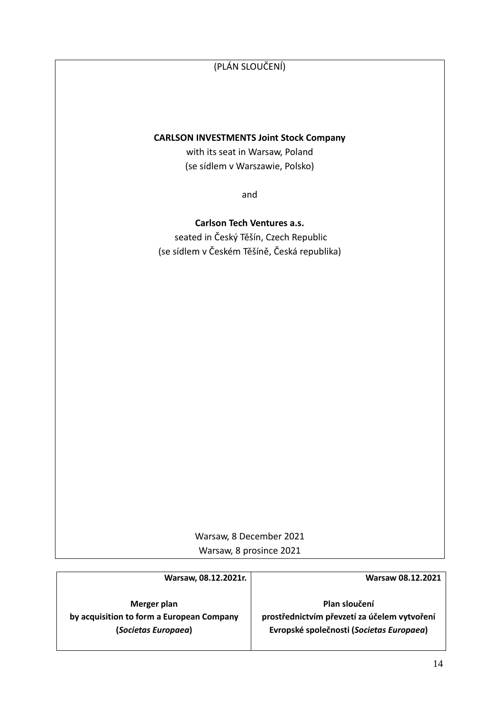# (PLÁN SLOUČENÍ)

### **CARLSON INVESTMENTS Joint Stock Company**

with its seat in Warsaw, Poland (se sídlem v Warszawie, Polsko)

and

**Carlson Tech Ventures a.s.** seated in Český Těšín, Czech Republic (se sídlem v Českém Těšíně, Česká republika)

> Warsaw, 8 December 2021 Warsaw, 8 prosince 2021

| <b>Warsaw 08.12.2021</b>                                                                                  |
|-----------------------------------------------------------------------------------------------------------|
| Plan sloučení<br>prostřednictvím převzetí za účelem vytvoření<br>Evropské společnosti (Societas Europaea) |
|                                                                                                           |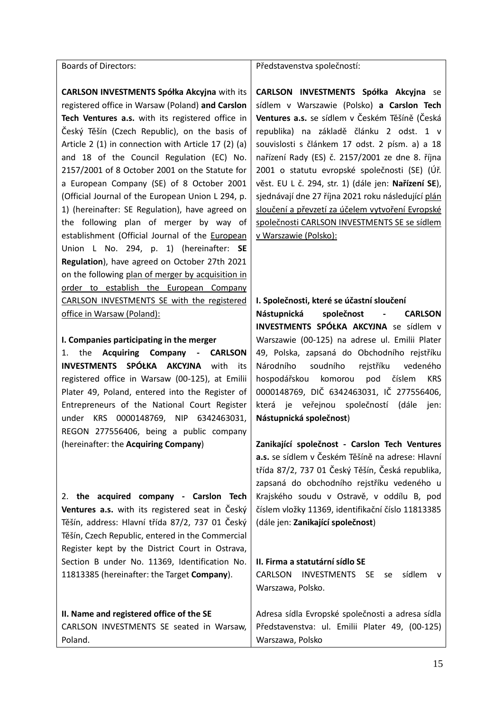Boards of Directors:

**CARLSON INVESTMENTS Spółka Akcyjna** with its registered office in Warsaw (Poland) **and Carslon Tech Ventures a.s.** with its registered office in Český Těšín (Czech Republic), on the basis of Article 2 (1) in connection with Article 17 (2) (a) and 18 of the Council Regulation (EC) No. 2157/2001 of 8 October 2001 on the Statute for a European Company (SE) of 8 October 2001 (Official Journal of the European Union L 294, p. 1) (hereinafter: SE Regulation), have agreed on the following plan of merger by way of establishment (Official Journal of the European Union L No. 294, p. 1) (hereinafter: **SE Regulation**), have agreed on October 27th 2021 on the following plan of merger by acquisition in order to establish the European Company CARLSON INVESTMENTS SE with the registered office in Warsaw (Poland):

#### **I. Companies participating in the merger**

1. the **Acquiring Company - CARLSON INVESTMENTS SPÓŁKA AKCYJNA** with its registered office in Warsaw (00-125), at Emilii Plater 49, Poland, entered into the Register of Entrepreneurs of the National Court Register under KRS 0000148769, NIP 6342463031, REGON 277556406, being a public company (hereinafter: the **Acquiring Company**)

2. **the acquired company - Carslon Tech Ventures a.s.** with its registered seat in Český Těšín, address: Hlavní třída 87/2, 737 01 Český Těšín, Czech Republic, entered in the Commercial Register kept by the District Court in Ostrava, Section B under No. 11369, Identification No. 11813385 (hereinafter: the Target **Company**).

# **II. Name and registered office of the SE**  CARLSON INVESTMENTS SE seated in Warsaw, Poland.

#### Představenstva společností:

**CARLSON INVESTMENTS Spółka Akcyjna** se sídlem v Warszawie (Polsko) **a Carslon Tech Ventures a.s.** se sídlem v Českém Těšíně (Česká republika) na základě článku 2 odst. 1 v souvislosti s článkem 17 odst. 2 písm. a) a 18 nařízení Rady (ES) č. 2157/2001 ze dne 8. října 2001 o statutu evropské společnosti (SE) (Úř. věst. EU L č. 294, str. 1) (dále jen: **Nařízení SE**), sjednávají dne 27 října 2021 roku následující plán sloučení a převzetí za účelem vytvoření Evropské společnosti CARLSON INVESTMENTS SE se sídlem v Warszawie (Polsko):

#### **I. Společnosti, které se účastní sloučení**

**Nástupnická společnost - CARLSON INVESTMENTS SPÓŁKA AKCYJNA** se sídlem v Warszawie (00-125) na adrese ul. Emilii Plater 49, Polska, zapsaná do Obchodního rejstříku Národního soudního rejstříku vedeného hospodářskou komorou pod číslem KRS 0000148769, DIČ 6342463031, IČ 277556406, která je veřejnou společností (dále jen: **Nástupnická společnost**)

**Zanikající společnost - Carslon Tech Ventures a.s.** se sídlem v Českém Těšíně na adrese: Hlavní třída 87/2, 737 01 Český Těšín, Česká republika, zapsaná do obchodního rejstříku vedeného u Krajského soudu v Ostravě, v oddílu B, pod číslem vložky 11369, identifikační číslo 11813385 (dále jen: **Zanikající společnost**)

### **II. Firma a statutární sídlo SE**

CARLSON INVESTMENTS SE se sídlem v Warszawa, Polsko.

Adresa sídla Evropské společnosti a adresa sídla Představenstva: ul. Emilii Plater 49, (00-125) Warszawa, Polsko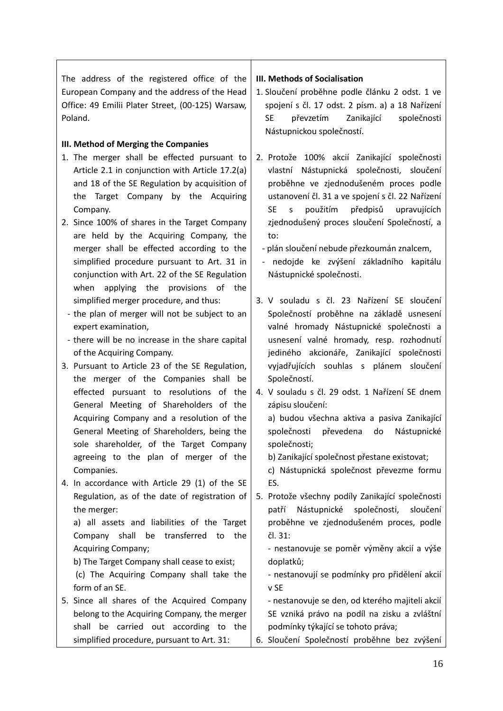The address of the registered office of the European Company and the address of the Head Office: 49 Emilii Plater Street, (00-125) Warsaw, Poland.

# **III. Method of Merging the Companies**

- 1. The merger shall be effected pursuant to Article 2.1 in conjunction with Article 17.2(a) and 18 of the SE Regulation by acquisition of the Target Company by the Acquiring Company.
- 2. Since 100% of shares in the Target Company are held by the Acquiring Company, the merger shall be effected according to the simplified procedure pursuant to Art. 31 in conjunction with Art. 22 of the SE Regulation when applying the provisions of the simplified merger procedure, and thus:
	- the plan of merger will not be subject to an expert examination,
	- there will be no increase in the share capital of the Acquiring Company.
- 3. Pursuant to Article 23 of the SE Regulation, the merger of the Companies shall be effected pursuant to resolutions of the General Meeting of Shareholders of the Acquiring Company and a resolution of the General Meeting of Shareholders, being the sole shareholder, of the Target Company agreeing to the plan of merger of the Companies.
- 4. In accordance with Article 29 (1) of the SE Regulation, as of the date of registration of the merger:

a) all assets and liabilities of the Target Company shall be transferred to the Acquiring Company;

b) The Target Company shall cease to exist; (c) The Acquiring Company shall take the

5. Since all shares of the Acquired Company belong to the Acquiring Company, the merger shall be carried out according to the simplified procedure, pursuant to Art. 31:

form of an SE.

# **III. Methods of Socialisation**

- 1. Sloučení proběhne podle článku 2 odst. 1 ve spojení s čl. 17 odst. 2 písm. a) a 18 Nařízení SE převzetím Zanikající společnosti Nástupnickou společností.
- 2. Protože 100% akcií Zanikající společnosti vlastní Nástupnická společnosti, sloučení proběhne ve zjednodušeném proces podle ustanovení čl. 31 a ve spojení s čl. 22 Nařízení SE s použitím předpisů upravujících zjednodušený proces sloučení Společností, a to:
	- plán sloučení nebude přezkoumán znalcem,
	- nedojde ke zvýšení základního kapitálu Nástupnické společnosti.
- 3. V souladu s čl. 23 Nařízení SE sloučení Společností proběhne na základě usnesení valné hromady Nástupnické společnosti a usnesení valné hromady, resp. rozhodnutí jediného akcionáře, Zanikající společnosti vyjadřujících souhlas s plánem sloučení Společností.
- 4. V souladu s čl. 29 odst. 1 Nařízení SE dnem zápisu sloučení:

a) budou všechna aktiva a pasiva Zanikající společnosti převedena do Nástupnické společnosti;

- b) Zanikající společnost přestane existovat;
- c) Nástupnická společnost převezme formu ES.
- 5. Protože všechny podíly Zanikající společnosti patří Nástupnické společnosti, sloučení proběhne ve zjednodušeném proces, podle čl. 31:

- nestanovuje se poměr výměny akcií a výše doplatků;

- nestanovují se podmínky pro přidělení akcií v SE

- nestanovuje se den, od kterého majiteli akcií SE vzniká právo na podíl na zisku a zvláštní podmínky týkající se tohoto práva;

6. Sloučení Společností proběhne bez zvýšení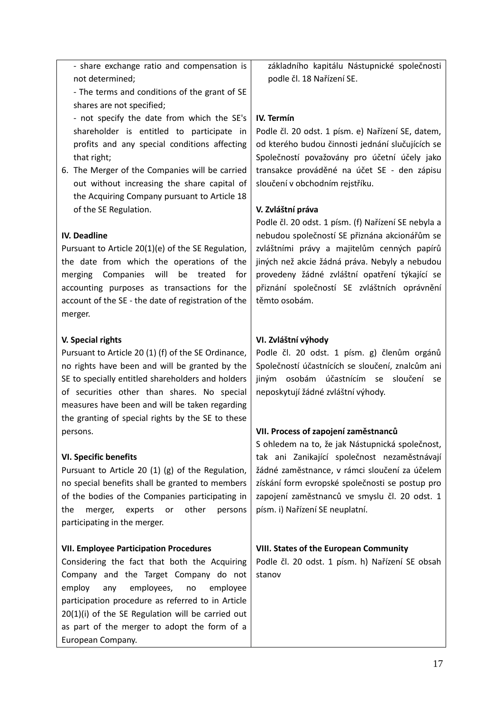- share exchange ratio and compensation is not determined;

- The terms and conditions of the grant of SE shares are not specified;

- not specify the date from which the SE's shareholder is entitled to participate in profits and any special conditions affecting that right;

6. The Merger of the Companies will be carried out without increasing the share capital of the Acquiring Company pursuant to Article 18 of the SE Regulation.

# **IV. Deadline**

Pursuant to Article 20(1)(e) of the SE Regulation, the date from which the operations of the merging Companies will be treated for accounting purposes as transactions for the account of the SE - the date of registration of the merger.

# **V. Special rights**

Pursuant to Article 20 (1) (f) of the SE Ordinance, no rights have been and will be granted by the SE to specially entitled shareholders and holders of securities other than shares. No special measures have been and will be taken regarding the granting of special rights by the SE to these persons.

# **VI. Specific benefits**

Pursuant to Article 20 (1) (g) of the Regulation, no special benefits shall be granted to members of the bodies of the Companies participating in the merger, experts or other persons participating in the merger.

# **VII. Employee Participation Procedures**

Considering the fact that both the Acquiring Company and the Target Company do not employ any employees, no employee participation procedure as referred to in Article 20(1)(i) of the SE Regulation will be carried out as part of the merger to adopt the form of a European Company.

základního kapitálu Nástupnické společnosti podle čl. 18 Nařízení SE.

# **IV. Termín**

Podle čl. 20 odst. 1 písm. e) Nařízení SE, datem, od kterého budou činnosti jednání slučujících se Společností považovány pro účetní účely jako transakce prováděné na účet SE - den zápisu sloučení v obchodním rejstříku.

# **V. Zvláštní práva**

Podle čl. 20 odst. 1 písm. (f) Nařízení SE nebyla a nebudou společností SE přiznána akcionářům se zvláštními právy a majitelům cenných papírů jiných než akcie žádná práva. Nebyly a nebudou provedeny žádné zvláštní opatření týkající se přiznání společností SE zvláštních oprávnění těmto osobám.

# **VI. Zvláštní výhody**

Podle čl. 20 odst. 1 písm. g) členům orgánů Společností účastnících se sloučení, znalcům ani jiným osobám účastnícím se sloučení se neposkytují žádné zvláštní výhody.

# **VII. Process of zapojení zaměstnanců**

S ohledem na to, že jak Nástupnická společnost, tak ani Zanikající společnost nezaměstnávají žádné zaměstnance, v rámci sloučení za účelem získání form evropské společnosti se postup pro zapojení zaměstnanců ve smyslu čl. 20 odst. 1 písm. i) Nařízení SE neuplatní.

# **VIII. States of the European Community**

Podle čl. 20 odst. 1 písm. h) Nařízení SE obsah stanov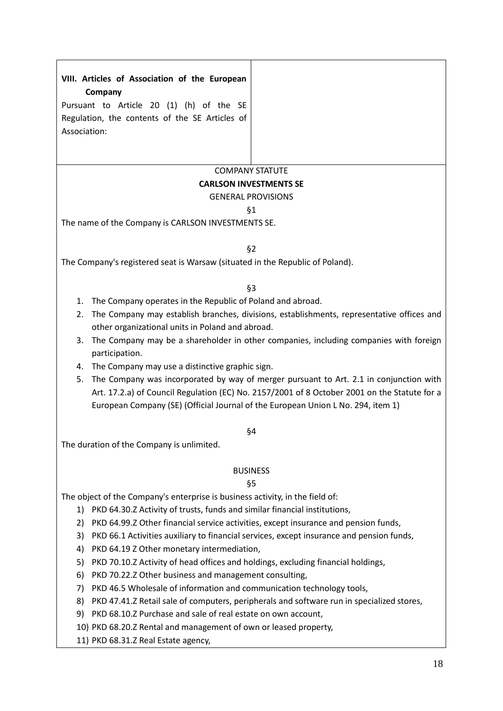# **VIII. Articles of Association of the European Company**

Pursuant to Article 20 (1) (h) of the SE Regulation, the contents of the SE Articles of Association:

# COMPANY STATUTE

### **CARLSON INVESTMENTS SE**

### GENERAL PROVISIONS

### §1

The name of the Company is CARLSON INVESTMENTS SE.

### §2

The Company's registered seat is Warsaw (situated in the Republic of Poland).

# §3

- 1. The Company operates in the Republic of Poland and abroad.
- 2. The Company may establish branches, divisions, establishments, representative offices and other organizational units in Poland and abroad.
- 3. The Company may be a shareholder in other companies, including companies with foreign participation.
- 4. The Company may use a distinctive graphic sign.
- 5. The Company was incorporated by way of merger pursuant to Art. 2.1 in conjunction with Art. 17.2.a) of Council Regulation (EC) No. 2157/2001 of 8 October 2001 on the Statute for a European Company (SE) (Official Journal of the European Union L No. 294, item 1)

# §4

The duration of the Company is unlimited.

# BUSINESS

# §5

The object of the Company's enterprise is business activity, in the field of:

- 1) PKD 64.30.Z Activity of trusts, funds and similar financial institutions,
- 2) PKD 64.99.Z Other financial service activities, except insurance and pension funds,
- 3) PKD 66.1 Activities auxiliary to financial services, except insurance and pension funds,
- 4) PKD 64.19 Z Other monetary intermediation,
- 5) PKD 70.10.Z Activity of head offices and holdings, excluding financial holdings,
- 6) PKD 70.22.Z Other business and management consulting,
- 7) PKD 46.5 Wholesale of information and communication technology tools,
- 8) PKD 47.41.Z Retail sale of computers, peripherals and software run in specialized stores,
- 9) PKD 68.10.Z Purchase and sale of real estate on own account,
- 10) PKD 68.20.Z Rental and management of own or leased property,

11) PKD 68.31.Z Real Estate agency,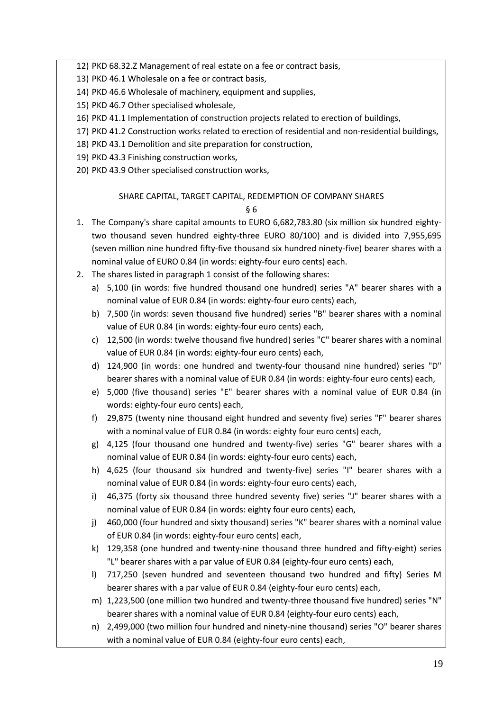12) PKD 68.32.Z Management of real estate on a fee or contract basis,

13) PKD 46.1 Wholesale on a fee or contract basis,

- 14) PKD 46.6 Wholesale of machinery, equipment and supplies,
- 15) PKD 46.7 Other specialised wholesale,
- 16) PKD 41.1 Implementation of construction projects related to erection of buildings,
- 17) PKD 41.2 Construction works related to erection of residential and non-residential buildings,
- 18) PKD 43.1 Demolition and site preparation for construction,
- 19) PKD 43.3 Finishing construction works,
- 20) PKD 43.9 Other specialised construction works,

# SHARE CAPITAL, TARGET CAPITAL, REDEMPTION OF COMPANY SHARES

- 1. The Company's share capital amounts to EURO 6,682,783.80 (six million six hundred eightytwo thousand seven hundred eighty-three EURO 80/100) and is divided into 7,955,695 (seven million nine hundred fifty-five thousand six hundred ninety-five) bearer shares with a nominal value of EURO 0.84 (in words: eighty-four euro cents) each.
- 2. The shares listed in paragraph 1 consist of the following shares:
	- a) 5,100 (in words: five hundred thousand one hundred) series "A" bearer shares with a nominal value of EUR 0.84 (in words: eighty-four euro cents) each,
	- b) 7,500 (in words: seven thousand five hundred) series "B" bearer shares with a nominal value of EUR 0.84 (in words: eighty-four euro cents) each,
	- c) 12,500 (in words: twelve thousand five hundred) series "C" bearer shares with a nominal value of EUR 0.84 (in words: eighty-four euro cents) each,
	- d) 124,900 (in words: one hundred and twenty-four thousand nine hundred) series "D" bearer shares with a nominal value of EUR 0.84 (in words: eighty-four euro cents) each,
	- e) 5,000 (five thousand) series "E" bearer shares with a nominal value of EUR 0.84 (in words: eighty-four euro cents) each,
	- f) 29,875 (twenty nine thousand eight hundred and seventy five) series "F" bearer shares with a nominal value of EUR 0.84 (in words: eighty four euro cents) each,
	- g) 4,125 (four thousand one hundred and twenty-five) series "G" bearer shares with a nominal value of EUR 0.84 (in words: eighty-four euro cents) each,
	- h) 4,625 (four thousand six hundred and twenty-five) series "I" bearer shares with a nominal value of EUR 0.84 (in words: eighty-four euro cents) each,
	- i) 46,375 (forty six thousand three hundred seventy five) series "J" bearer shares with a nominal value of EUR 0.84 (in words: eighty four euro cents) each,
	- j) 460,000 (four hundred and sixty thousand) series "K" bearer shares with a nominal value of EUR 0.84 (in words: eighty-four euro cents) each,
	- k) 129,358 (one hundred and twenty-nine thousand three hundred and fifty-eight) series "L" bearer shares with a par value of EUR 0.84 (eighty-four euro cents) each,
	- l) 717,250 (seven hundred and seventeen thousand two hundred and fifty) Series M bearer shares with a par value of EUR 0.84 (eighty-four euro cents) each,
	- m) 1,223,500 (one million two hundred and twenty-three thousand five hundred) series "N" bearer shares with a nominal value of EUR 0.84 (eighty-four euro cents) each,
	- n) 2,499,000 (two million four hundred and ninety-nine thousand) series "O" bearer shares with a nominal value of EUR 0.84 (eighty-four euro cents) each,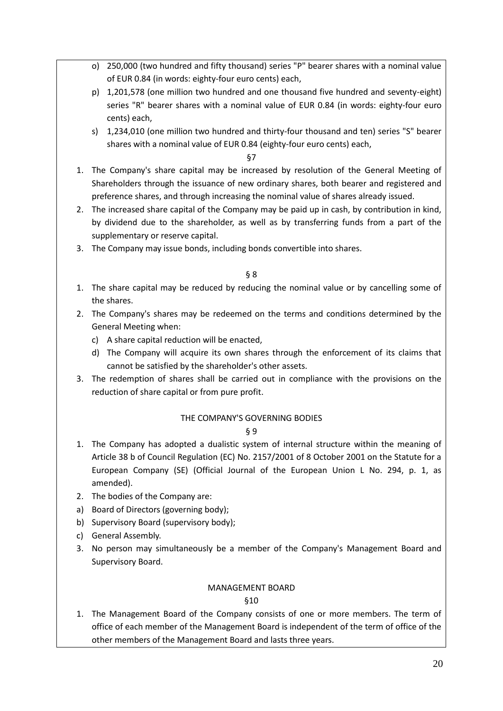- o) 250,000 (two hundred and fifty thousand) series "P" bearer shares with a nominal value of EUR 0.84 (in words: eighty-four euro cents) each,
- p) 1,201,578 (one million two hundred and one thousand five hundred and seventy-eight) series "R" bearer shares with a nominal value of EUR 0.84 (in words: eighty-four euro cents) each,
- s) 1,234,010 (one million two hundred and thirty-four thousand and ten) series "S" bearer shares with a nominal value of EUR 0.84 (eighty-four euro cents) each,

§7

- 1. The Company's share capital may be increased by resolution of the General Meeting of Shareholders through the issuance of new ordinary shares, both bearer and registered and preference shares, and through increasing the nominal value of shares already issued.
- 2. The increased share capital of the Company may be paid up in cash, by contribution in kind, by dividend due to the shareholder, as well as by transferring funds from a part of the supplementary or reserve capital.
- 3. The Company may issue bonds, including bonds convertible into shares.

§ 8

- 1. The share capital may be reduced by reducing the nominal value or by cancelling some of the shares.
- 2. The Company's shares may be redeemed on the terms and conditions determined by the General Meeting when:
	- c) A share capital reduction will be enacted,
	- d) The Company will acquire its own shares through the enforcement of its claims that cannot be satisfied by the shareholder's other assets.
- 3. The redemption of shares shall be carried out in compliance with the provisions on the reduction of share capital or from pure profit.

# THE COMPANY'S GOVERNING BODIES

# § 9

- 1. The Company has adopted a dualistic system of internal structure within the meaning of Article 38 b of Council Regulation (EC) No. 2157/2001 of 8 October 2001 on the Statute for a European Company (SE) (Official Journal of the European Union L No. 294, p. 1, as amended).
- 2. The bodies of the Company are:
- a) Board of Directors (governing body);
- b) Supervisory Board (supervisory body);
- c) General Assembly.
- 3. No person may simultaneously be a member of the Company's Management Board and Supervisory Board.

# MANAGEMENT BOARD

§10

1. The Management Board of the Company consists of one or more members. The term of office of each member of the Management Board is independent of the term of office of the other members of the Management Board and lasts three years.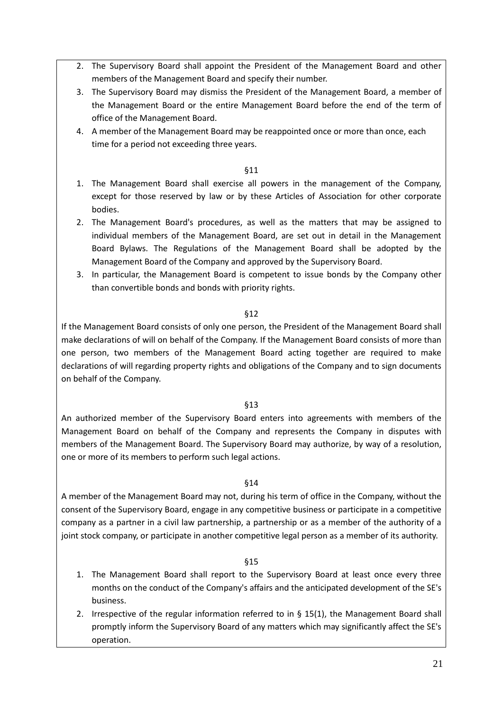- 2. The Supervisory Board shall appoint the President of the Management Board and other members of the Management Board and specify their number.
- 3. The Supervisory Board may dismiss the President of the Management Board, a member of the Management Board or the entire Management Board before the end of the term of office of the Management Board.
- 4. A member of the Management Board may be reappointed once or more than once, each time for a period not exceeding three years.

### §11

- 1. The Management Board shall exercise all powers in the management of the Company, except for those reserved by law or by these Articles of Association for other corporate bodies.
- 2. The Management Board's procedures, as well as the matters that may be assigned to individual members of the Management Board, are set out in detail in the Management Board Bylaws. The Regulations of the Management Board shall be adopted by the Management Board of the Company and approved by the Supervisory Board.
- 3. In particular, the Management Board is competent to issue bonds by the Company other than convertible bonds and bonds with priority rights.

### §12

If the Management Board consists of only one person, the President of the Management Board shall make declarations of will on behalf of the Company. If the Management Board consists of more than one person, two members of the Management Board acting together are required to make declarations of will regarding property rights and obligations of the Company and to sign documents on behalf of the Company.

### §13

An authorized member of the Supervisory Board enters into agreements with members of the Management Board on behalf of the Company and represents the Company in disputes with members of the Management Board. The Supervisory Board may authorize, by way of a resolution, one or more of its members to perform such legal actions.

# §14

A member of the Management Board may not, during his term of office in the Company, without the consent of the Supervisory Board, engage in any competitive business or participate in a competitive company as a partner in a civil law partnership, a partnership or as a member of the authority of a joint stock company, or participate in another competitive legal person as a member of its authority.

- 1. The Management Board shall report to the Supervisory Board at least once every three months on the conduct of the Company's affairs and the anticipated development of the SE's business.
- 2. Irrespective of the regular information referred to in § 15(1), the Management Board shall promptly inform the Supervisory Board of any matters which may significantly affect the SE's operation.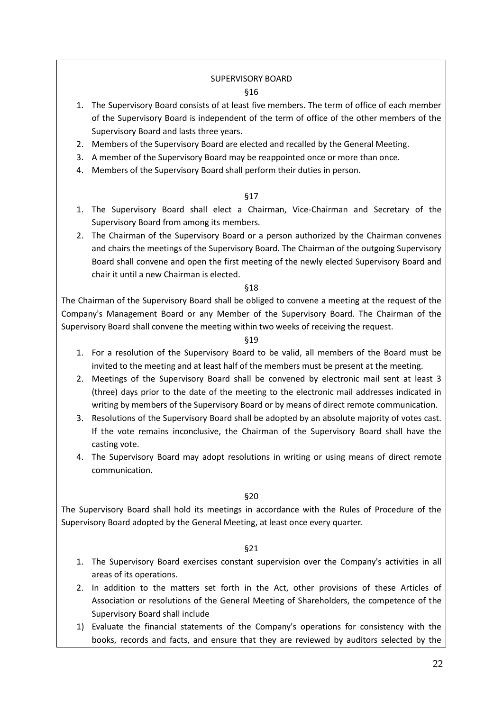### SUPERVISORY BOARD §16

- 1. The Supervisory Board consists of at least five members. The term of office of each member of the Supervisory Board is independent of the term of office of the other members of the Supervisory Board and lasts three years.
- 2. Members of the Supervisory Board are elected and recalled by the General Meeting.
- 3. A member of the Supervisory Board may be reappointed once or more than once.
- 4. Members of the Supervisory Board shall perform their duties in person.

### §17

- 1. The Supervisory Board shall elect a Chairman, Vice-Chairman and Secretary of the Supervisory Board from among its members.
- 2. The Chairman of the Supervisory Board or a person authorized by the Chairman convenes and chairs the meetings of the Supervisory Board. The Chairman of the outgoing Supervisory Board shall convene and open the first meeting of the newly elected Supervisory Board and chair it until a new Chairman is elected.

### §18

The Chairman of the Supervisory Board shall be obliged to convene a meeting at the request of the Company's Management Board or any Member of the Supervisory Board. The Chairman of the Supervisory Board shall convene the meeting within two weeks of receiving the request.

### §19

- 1. For a resolution of the Supervisory Board to be valid, all members of the Board must be invited to the meeting and at least half of the members must be present at the meeting.
- 2. Meetings of the Supervisory Board shall be convened by electronic mail sent at least 3 (three) days prior to the date of the meeting to the electronic mail addresses indicated in writing by members of the Supervisory Board or by means of direct remote communication.
- 3. Resolutions of the Supervisory Board shall be adopted by an absolute majority of votes cast. If the vote remains inconclusive, the Chairman of the Supervisory Board shall have the casting vote.
- 4. The Supervisory Board may adopt resolutions in writing or using means of direct remote communication.

### §20

The Supervisory Board shall hold its meetings in accordance with the Rules of Procedure of the Supervisory Board adopted by the General Meeting, at least once every quarter.

- 1. The Supervisory Board exercises constant supervision over the Company's activities in all areas of its operations.
- 2. In addition to the matters set forth in the Act, other provisions of these Articles of Association or resolutions of the General Meeting of Shareholders, the competence of the Supervisory Board shall include
- 1) Evaluate the financial statements of the Company's operations for consistency with the books, records and facts, and ensure that they are reviewed by auditors selected by the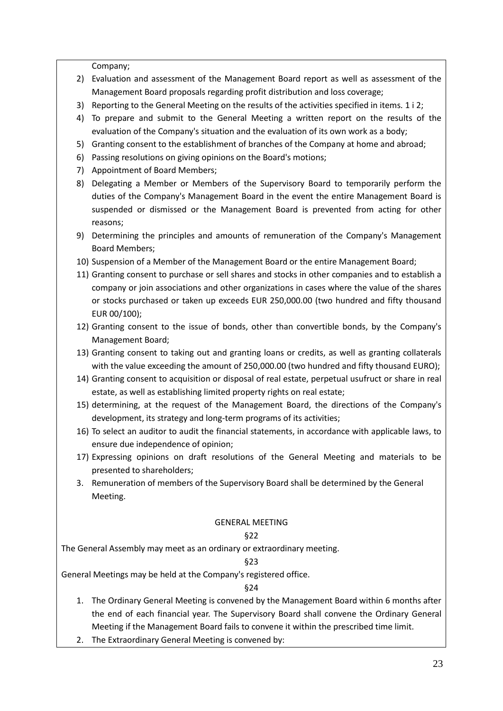Company;

- 2) Evaluation and assessment of the Management Board report as well as assessment of the Management Board proposals regarding profit distribution and loss coverage;
- 3) Reporting to the General Meeting on the results of the activities specified in items. 1 i 2;
- 4) To prepare and submit to the General Meeting a written report on the results of the evaluation of the Company's situation and the evaluation of its own work as a body;
- 5) Granting consent to the establishment of branches of the Company at home and abroad;
- 6) Passing resolutions on giving opinions on the Board's motions;
- 7) Appointment of Board Members;
- 8) Delegating a Member or Members of the Supervisory Board to temporarily perform the duties of the Company's Management Board in the event the entire Management Board is suspended or dismissed or the Management Board is prevented from acting for other reasons;
- 9) Determining the principles and amounts of remuneration of the Company's Management Board Members;
- 10) Suspension of a Member of the Management Board or the entire Management Board;
- 11) Granting consent to purchase or sell shares and stocks in other companies and to establish a company or join associations and other organizations in cases where the value of the shares or stocks purchased or taken up exceeds EUR 250,000.00 (two hundred and fifty thousand EUR 00/100);
- 12) Granting consent to the issue of bonds, other than convertible bonds, by the Company's Management Board;
- 13) Granting consent to taking out and granting loans or credits, as well as granting collaterals with the value exceeding the amount of 250,000.00 (two hundred and fifty thousand EURO);
- 14) Granting consent to acquisition or disposal of real estate, perpetual usufruct or share in real estate, as well as establishing limited property rights on real estate;
- 15) determining, at the request of the Management Board, the directions of the Company's development, its strategy and long-term programs of its activities;
- 16) To select an auditor to audit the financial statements, in accordance with applicable laws, to ensure due independence of opinion;
- 17) Expressing opinions on draft resolutions of the General Meeting and materials to be presented to shareholders;
- 3. Remuneration of members of the Supervisory Board shall be determined by the General Meeting.

# GENERAL MEETING

# §22

The General Assembly may meet as an ordinary or extraordinary meeting.

# §23

General Meetings may be held at the Company's registered office.

- 1. The Ordinary General Meeting is convened by the Management Board within 6 months after the end of each financial year. The Supervisory Board shall convene the Ordinary General Meeting if the Management Board fails to convene it within the prescribed time limit.
- 2. The Extraordinary General Meeting is convened by: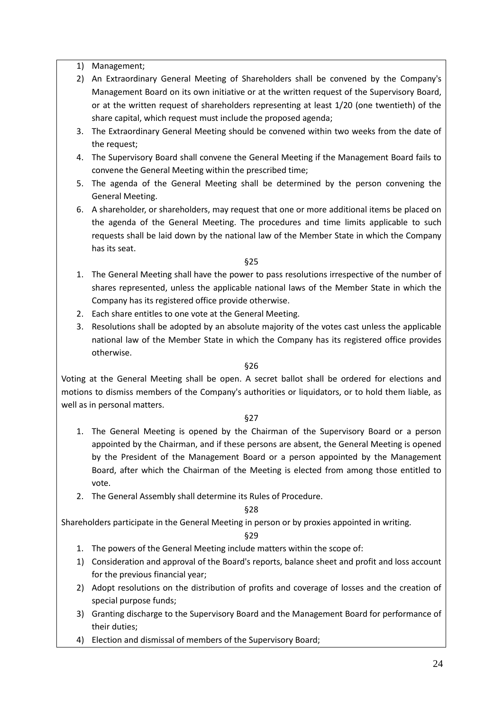1) Management;

- 2) An Extraordinary General Meeting of Shareholders shall be convened by the Company's Management Board on its own initiative or at the written request of the Supervisory Board, or at the written request of shareholders representing at least 1/20 (one twentieth) of the share capital, which request must include the proposed agenda;
- 3. The Extraordinary General Meeting should be convened within two weeks from the date of the request;
- 4. The Supervisory Board shall convene the General Meeting if the Management Board fails to convene the General Meeting within the prescribed time;
- 5. The agenda of the General Meeting shall be determined by the person convening the General Meeting.
- 6. A shareholder, or shareholders, may request that one or more additional items be placed on the agenda of the General Meeting. The procedures and time limits applicable to such requests shall be laid down by the national law of the Member State in which the Company has its seat.

§25

- 1. The General Meeting shall have the power to pass resolutions irrespective of the number of shares represented, unless the applicable national laws of the Member State in which the Company has its registered office provide otherwise.
- 2. Each share entitles to one vote at the General Meeting.
- 3. Resolutions shall be adopted by an absolute majority of the votes cast unless the applicable national law of the Member State in which the Company has its registered office provides otherwise.

§26

Voting at the General Meeting shall be open. A secret ballot shall be ordered for elections and motions to dismiss members of the Company's authorities or liquidators, or to hold them liable, as well as in personal matters.

§27

- 1. The General Meeting is opened by the Chairman of the Supervisory Board or a person appointed by the Chairman, and if these persons are absent, the General Meeting is opened by the President of the Management Board or a person appointed by the Management Board, after which the Chairman of the Meeting is elected from among those entitled to vote.
- 2. The General Assembly shall determine its Rules of Procedure.

§28

Shareholders participate in the General Meeting in person or by proxies appointed in writing.

- 1. The powers of the General Meeting include matters within the scope of:
- 1) Consideration and approval of the Board's reports, balance sheet and profit and loss account for the previous financial year;
- 2) Adopt resolutions on the distribution of profits and coverage of losses and the creation of special purpose funds;
- 3) Granting discharge to the Supervisory Board and the Management Board for performance of their duties;
- 4) Election and dismissal of members of the Supervisory Board;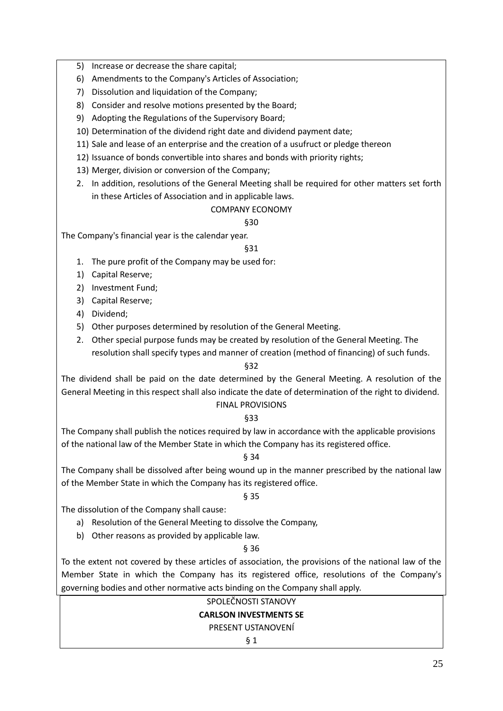- 5) Increase or decrease the share capital;
- 6) Amendments to the Company's Articles of Association;
- 7) Dissolution and liquidation of the Company;
- 8) Consider and resolve motions presented by the Board;
- 9) Adopting the Regulations of the Supervisory Board;
- 10) Determination of the dividend right date and dividend payment date;
- 11) Sale and lease of an enterprise and the creation of a usufruct or pledge thereon
- 12) Issuance of bonds convertible into shares and bonds with priority rights;
- 13) Merger, division or conversion of the Company;
- 2. In addition, resolutions of the General Meeting shall be required for other matters set forth in these Articles of Association and in applicable laws.

# COMPANY ECONOMY

# §30

The Company's financial year is the calendar year.

# §31

- 1. The pure profit of the Company may be used for:
- 1) Capital Reserve;
- 2) Investment Fund;
- 3) Capital Reserve;
- 4) Dividend;
- 5) Other purposes determined by resolution of the General Meeting.
- 2. Other special purpose funds may be created by resolution of the General Meeting. The resolution shall specify types and manner of creation (method of financing) of such funds.

# §32

The dividend shall be paid on the date determined by the General Meeting. A resolution of the General Meeting in this respect shall also indicate the date of determination of the right to dividend. FINAL PROVISIONS

# §33

The Company shall publish the notices required by law in accordance with the applicable provisions of the national law of the Member State in which the Company has its registered office.

# § 34

The Company shall be dissolved after being wound up in the manner prescribed by the national law of the Member State in which the Company has its registered office.

# § 35

The dissolution of the Company shall cause:

- a) Resolution of the General Meeting to dissolve the Company,
- b) Other reasons as provided by applicable law.

# § 36

To the extent not covered by these articles of association, the provisions of the national law of the Member State in which the Company has its registered office, resolutions of the Company's governing bodies and other normative acts binding on the Company shall apply.

# SPOLEČNOSTI STANOVY

# **CARLSON INVESTMENTS SE**

# PRESENT USTANOVENÍ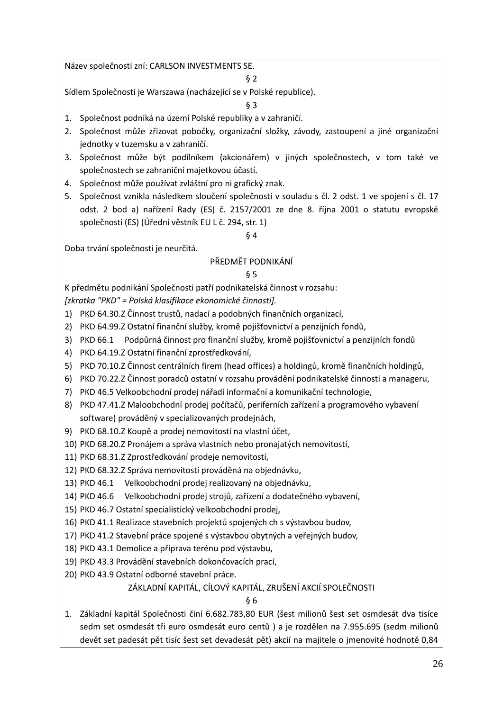Název společnosti zní: CARLSON INVESTMENTS SE.

### § 2

Sídlem Společnosti je Warszawa (nacházející se v Polské republice).

§ 3

- 1. Společnost podniká na území Polské republiky a v zahraničí.
- 2. Společnost může zřizovat pobočky, organizační složky, závody, zastoupení a jiné organizační jednotky v tuzemsku a v zahraničí.
- 3. Společnost může být podílníkem (akcionářem) v jiných společnostech, v tom také ve společnostech se zahraniční majetkovou účastí.
- 4. Společnost může používat zvláštní pro ni grafický znak.
- 5. Společnost vznikla následkem sloučení společností v souladu s čl. 2 odst. 1 ve spojení s čl. 17 odst. 2 bod a) nařízení Rady (ES) č. 2157/2001 ze dne 8. října 2001 o statutu evropské společnosti (ES) (Úřední věstník EU L č. 294, str. 1)

§ 4

Doba trvání společnosti je neurčitá.

# PŘEDMĚT PODNIKÁNÍ

# § 5

K předmětu podnikání Společnosti patří podnikatelská činnost v rozsahu:

*[zkratka "PKD" = Polská klasifikace ekonomické činnosti].*

- 1) PKD 64.30.Z Činnost trustů, nadací a podobných finančních organizací,
- 2) PKD 64.99.Z Ostatní finanční služby, kromě pojišťovnictví a penzijních fondů,
- 3) PKD 66.1 Podpůrná činnost pro finanční služby, kromě pojišťovnictví a penzijních fondů
- 4) PKD 64.19.Z Ostatní finanční zprostředkování,
- 5) PKD 70.10.Z Činnost centrálních firem (head offices) a holdingů, kromě finančních holdingů,
- 6) PKD 70.22.Z Činnost poradců ostatní v rozsahu provádění podnikatelské činnosti a manageru,
- 7) PKD 46.5 Velkoobchodní prodej nářadí informační a komunikační technologie,
- 8) PKD 47.41.Z Maloobchodní prodej počítačů, periferních zařízení a programového vybavení software) prováděný v specializovaných prodejnách,
- 9) PKD 68.10.Z Koupě a prodej nemovitostí na vlastní účet,
- 10) PKD 68.20.Z Pronájem a správa vlastních nebo pronajatých nemovitostí,
- 11) PKD 68.31.Z Zprostředkování prodeje nemovitostí,
- 12) PKD 68.32.Z Správa nemovitostí prováděná na objednávku,
- 13) PKD 46.1 Velkoobchodní prodej realizovaný na objednávku,
- 14) PKD 46.6 Velkoobchodní prodej strojů, zařízení a dodatečného vybavení,
- 15) PKD 46.7 Ostatní specialistický velkoobchodní prodej,
- 16) PKD 41.1 Realizace stavebních projektů spojených ch s výstavbou budov,
- 17) PKD 41.2 Stavební práce spojené s výstavbou obytných a veřejných budov,
- 18) PKD 43.1 Demolice a příprava terénu pod výstavbu,
- 19) PKD 43.3 Provádění stavebních dokončovacích prací,
- 20) PKD 43.9 Ostatní odborné stavební práce.

# ZÁKLADNÍ KAPITÁL, CÍLOVÝ KAPITÁL, ZRUŠENÍ AKCIÍ SPOLEČNOSTI

§ 6

1. Základní kapitál Společnosti činí 6.682.783,80 EUR (šest milionů šest set osmdesát dva tisíce sedm set osmdesát tři euro osmdesát euro centů ) a je rozdělen na 7.955.695 (sedm milionů devět set padesát pět tisíc šest set devadesát pět) akcií na majitele o jmenovité hodnotě 0,84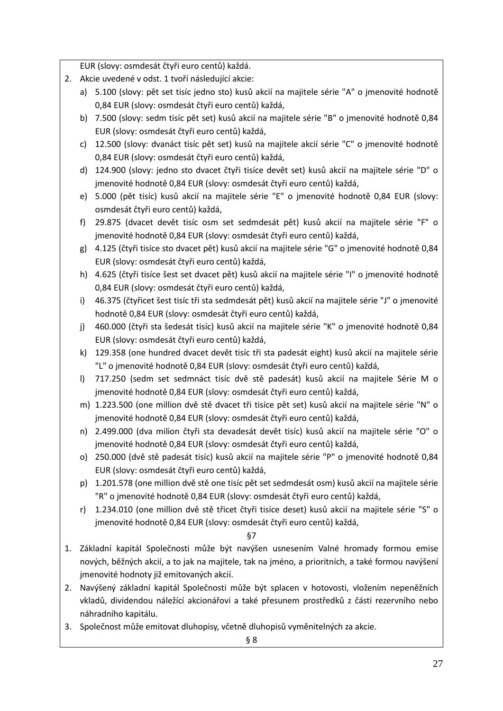EUR (slovy: osmdesát čtyři euro centů) každá.

- 2. Akcie uvedené v odst. 1 tvoří následující akcie:
	- a) 5.100 (slovy: pět set tisíc jedno sto) kusů akcií na majitele série "A" o jmenovité hodnotě 0,84 EUR (slovy: osmdesát čtyři euro centů) každá,
	- b) 7.500 (slovy: sedm tisíc pět set) kusů akcií na majitele série "B" o jmenovité hodnotě 0,84 EUR (slovy: osmdesát čtyři euro centů) každá,
	- c) 12.500 (slovy: dvanáct tisíc pět set) kusů na majitele akcií série "C" o jmenovité hodnotě 0,84 EUR (slovy: osmdesát čtyři euro centů) každá,
	- d) 124.900 (slovy: jedno sto dvacet čtyři tisíce devět set) kusů akcií na majitele série "D" o jmenovité hodnotě 0,84 EUR (slovy: osmdesát čtyři euro centů) každá,
	- e) 5.000 (pět tisíc) kusů akcií na majitele série "E" o jmenovité hodnotě 0,84 EUR (slovy: osmdesát čtyři euro centů) každá,
	- f) 29.875 (dvacet devět tisíc osm set sedmdesát pět) kusů akcií na majitele série "F" o jmenovité hodnotě 0,84 EUR (slovy: osmdesát čtyři euro centů) každá,
	- g) 4.125 (čtyři tisíce sto dvacet pět) kusů akcií na majitele série "G" o jmenovité hodnotě 0,84 EUR (slovy: osmdesát čtyři euro centů) každá,
	- h) 4.625 (čtyři tisíce šest set dvacet pět) kusů akcií na majitele série "I" o jmenovité hodnotě 0,84 EUR (slovy: osmdesát čtyři euro centů) každá,
	- i) 46.375 (čtyřicet šest tisíc tři sta sedmdesát pět) kusů akcií na majitele série "J" o jmenovité hodnotě 0,84 EUR (slovy: osmdesát čtyři euro centů) každá,
	- j) 460.000 (čtyři sta šedesát tisíc) kusů akcií na majitele série "K" o jmenovité hodnotě 0,84 EUR (slovy: osmdesát čtyři euro centů) každá,
	- k) 129.358 (one hundred dvacet devět tisíc tři sta padesát eight) kusů akcií na majitele série "L" o jmenovité hodnotě 0,84 EUR (slovy: osmdesát čtyři euro centů) každá,
	- l) 717.250 (sedm set sedmnáct tisíc dvě stě padesát) kusů akcií na majitele Série M o jmenovité hodnotě 0,84 EUR (slovy: osmdesát čtyři euro centů) každá,
	- m) 1.223.500 (one million dvě stě dvacet tři tisíce pět set) kusů akcií na majitele série "N" o jmenovité hodnotě 0,84 EUR (slovy: osmdesát čtyři euro centů) každá,
	- n) 2.499.000 (dva milion čtyři sta devadesát devět tisíc) kusů akcií na majitele série "O" o jmenovité hodnotě 0,84 EUR (slovy: osmdesát čtyři euro centů) každá,
	- o) 250.000 (dvě stě padesát tisíc) kusů akcií na majitele série "P" o jmenovité hodnotě 0,84 EUR (slovy: osmdesát čtyři euro centů) každá,
	- p) 1.201.578 (one million dvě stě one tisíc pět set sedmdesát osm) kusů akcií na majitele série "R" o jmenovité hodnotě 0,84 EUR (slovy: osmdesát čtyři euro centů) každá,
	- r) 1.234.010 (one million dvě stě třicet čtyři tisíce deset) kusů akcií na majitele série "S" o jmenovité hodnotě 0,84 EUR (slovy: osmdesát čtyři euro centů) každá,

- 1. Základní kapitál Společnosti může být navýšen usnesením Valné hromady formou emise nových, běžných akcií, a to jak na majitele, tak na jméno, a prioritních, a také formou navýšení jmenovité hodnoty již emitovaných akcií.
- 2. Navýšený základní kapitál Společnosti může být splacen v hotovosti, vložením nepeněžních vkladů, dividendou náležící akcionářovi a také přesunem prostředků z části rezervního nebo náhradního kapitálu.
- 3. Společnost může emitovat dluhopisy, včetně dluhopisů vyměnitelných za akcie.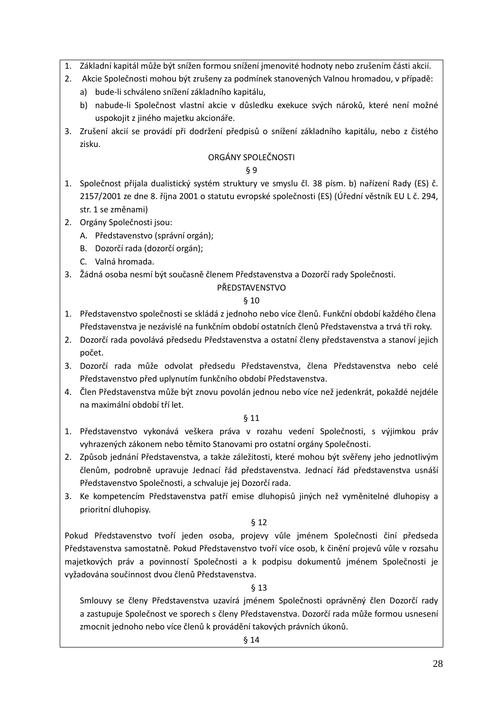- 1. Základní kapitál může být snížen formou snížení jmenovité hodnoty nebo zrušením části akcií.
- 2. Akcie Společnosti mohou být zrušeny za podmínek stanovených Valnou hromadou, v případě:
	- a) bude-li schváleno snížení základního kapitálu,
	- b) nabude-li Společnost vlastní akcie v důsledku exekuce svých nároků, které není možné uspokojit z jiného majetku akcionáře.
- 3. Zrušení akcií se provádí při dodržení předpisů o snížení základního kapitálu, nebo z čistého zisku.

# ORGÁNY SPOLEČNOSTI

# § 9

- 1. Společnost přijala dualistický systém struktury ve smyslu čl. 38 písm. b) nařízení Rady (ES) č. 2157/2001 ze dne 8. října 2001 o statutu evropské společnosti (ES) (Úřední věstník EU L č. 294, str. 1 se změnami)
- 2. Orgány Společnosti jsou:
	- A. Představenstvo (správní orgán);
	- B. Dozorčí rada (dozorčí orgán);
	- C. Valná hromada.
- 3. Žádná osoba nesmí být současně členem Představenstva a Dozorčí rady Společnosti.

# PŘEDSTAVENSTVO

# § 10

- 1. Představenstvo společnosti se skládá z jednoho nebo více členů. Funkční období každého člena Představenstva je nezávislé na funkčním období ostatních členů Představenstva a trvá tři roky.
- 2. Dozorčí rada povolává předsedu Představenstva a ostatní členy představenstva a stanoví jejich počet.
- 3. Dozorčí rada může odvolat předsedu Představenstva, člena Představenstva nebo celé Představenstvo před uplynutím funkčního období Představenstva.
- 4. Člen Představenstva může být znovu povolán jednou nebo více než jedenkrát, pokaždé nejdéle na maximální období tří let.

# § 11

- 1. Představenstvo vykonává veškera práva v rozahu vedení Společnosti, s výjimkou práv vyhrazených zákonem nebo těmito Stanovami pro ostatní orgány Společnosti.
- 2. Způsob jednání Představenstva, a także záležitosti, které mohou být svěřeny jeho jednotlivým členům, podrobně upravuje Jednací řád představenstva. Jednací řád představenstva usnáší Představenstvo Společnosti, a schvaluje jej Dozorčí rada.
- 3. Ke kompetencím Představenstva patří emise dluhopisů jiných než vyměnitelné dluhopisy a prioritní dluhopisy.

# § 12

Pokud Představenstvo tvoří jeden osoba, projevy vůle jménem Společnosti činí předseda Představenstva samostatně. Pokud Představenstvo tvoří více osob, k činění projevů vůle v rozsahu majetkových práv a povinností Společnosti a k podpisu dokumentů jménem Společnosti je vyžadována součinnost dvou členů Představenstva.

# § 13

Smlouvy se členy Představenstva uzavírá jménem Společnosti oprávněný člen Dozorčí rady a zastupuje Společnost ve sporech s členy Představenstva. Dozorčí rada může formou usnesení zmocnit jednoho nebo více členů k provádění takových právních úkonů.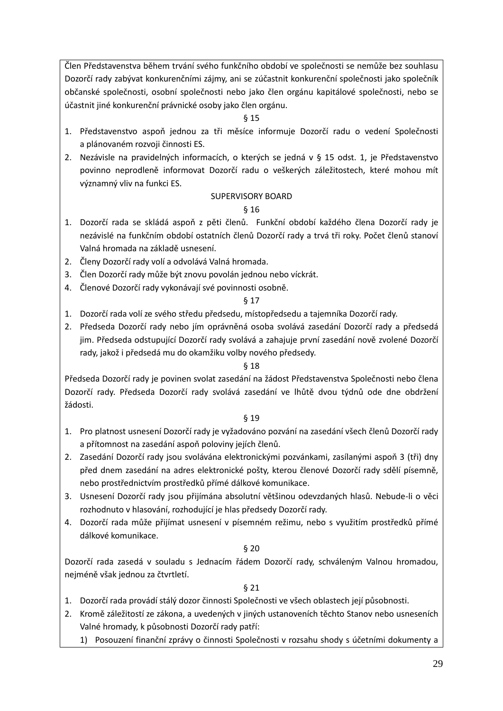Člen Představenstva během trvání svého funkčního období ve společnosti se nemůže bez souhlasu Dozorčí rady zabývat konkurenčními zájmy, ani se zúčastnit konkurenční společnosti jako společník občanské společnosti, osobní společnosti nebo jako člen orgánu kapitálové společnosti, nebo se účastnit jiné konkurenční právnické osoby jako člen orgánu.

# § 15

- 1. Představenstvo aspoň jednou za tři měsíce informuje Dozorčí radu o vedení Společnosti a plánovaném rozvoji činnosti ES.
- 2. Nezávisle na pravidelných informacích, o kterých se jedná v § 15 odst. 1, je Představenstvo povinno neprodleně informovat Dozorčí radu o veškerých záležitostech, které mohou mít významný vliv na funkci ES.

# SUPERVISORY BOARD

# § 16

- 1. Dozorčí rada se skládá aspoň z pěti členů. Funkční období každého člena Dozorčí rady je nezávislé na funkčním období ostatních členů Dozorčí rady a trvá tři roky. Počet členů stanoví Valná hromada na základě usnesení.
- 2. Členy Dozorčí rady volí a odvolává Valná hromada.
- 3. Člen Dozorčí rady může být znovu povolán jednou nebo víckrát.
- 4. Členové Dozorčí rady vykonávají své povinnosti osobně.

# § 17

- 1. Dozorčí rada volí ze svého středu předsedu, místopředsedu a tajemníka Dozorčí rady.
- 2. Předseda Dozorčí rady nebo jím oprávněná osoba svolává zasedání Dozorčí rady a předsedá jim. Předseda odstupující Dozorčí rady svolává a zahajuje první zasedání nově zvolené Dozorčí rady, jakož i předsedá mu do okamžiku volby nového předsedy.

# § 18

Předseda Dozorčí rady je povinen svolat zasedání na žádost Představenstva Společnosti nebo člena Dozorčí rady. Předseda Dozorčí rady svolává zasedání ve lhůtě dvou týdnů ode dne obdržení žádosti.

# § 19

- 1. Pro platnost usnesení Dozorčí rady je vyžadováno pozvání na zasedání všech členů Dozorčí rady a přítomnost na zasedání aspoň poloviny jejích členů.
- 2. Zasedání Dozorčí rady jsou svolávána elektronickými pozvánkami, zasílanými aspoň 3 (tři) dny před dnem zasedání na adres elektronické pošty, kterou členové Dozorčí rady sdělí písemně, nebo prostřednictvím prostředků přímé dálkové komunikace.
- 3. Usnesení Dozorčí rady jsou přijímána absolutní většinou odevzdaných hlasů. Nebude-li o věci rozhodnuto v hlasování, rozhodující je hlas předsedy Dozorčí rady.
- 4. Dozorčí rada může přijímat usnesení v písemném režimu, nebo s využitím prostředků přímé dálkové komunikace.

# § 20

Dozorčí rada zasedá v souladu s Jednacím řádem Dozorčí rady, schváleným Valnou hromadou, nejméně však jednou za čtvrtletí.

- 1. Dozorčí rada provádí stálý dozor činnosti Společnosti ve všech oblastech její působnosti.
- 2. Kromě záležitostí ze zákona, a uvedených v jiných ustanoveních těchto Stanov nebo usneseních Valné hromady, k působnosti Dozorčí rady patří:
	- 1) Posouzení finanční zprávy o činnosti Společnosti v rozsahu shody s účetními dokumenty a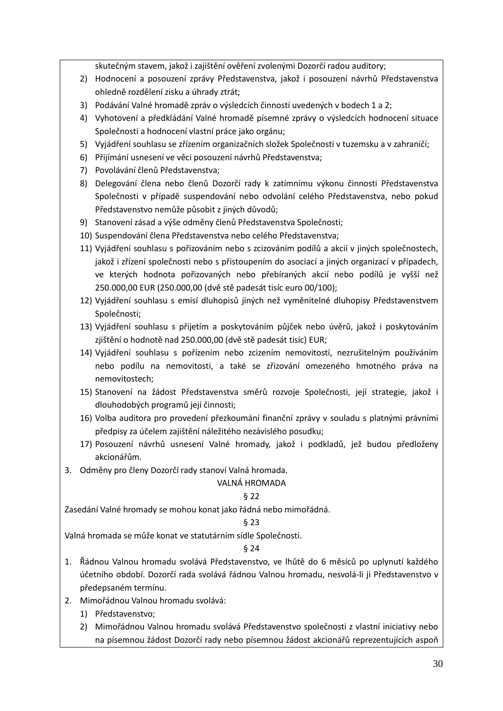skutečným stavem, jakož i zajištění ověření zvolenými Dozorčí radou auditory;

- 2) Hodnocení a posouzení zprávy Představenstva, jakož i posouzení návrhů Představenstva ohledně rozdělení zisku a úhrady ztrát;
- 3) Podávání Valné hromadě zpráv o výsledcích činností uvedených v bodech 1 a 2;
- 4) Vyhotovení a předkládání Valné hromadě písemné zprávy o výsledcích hodnocení situace Společnosti a hodnocení vlastní práce jako orgánu;
- 5) Vyjádření souhlasu se zřízením organizačních složek Společnosti v tuzemsku a v zahraničí;
- 6) Přijímání usnesení ve věci posouzení návrhů Představenstva;
- 7) Povolávání členů Představenstva;
- 8) Delegování člena nebo členů Dozorčí rady k zatímnímu výkonu činnosti Představenstva Společnosti v případě suspendování nebo odvolání celého Představenstva, nebo pokud Představenstvo nemůže působit z jiných důvodů;
- 9) Stanovení zásad a výše odměny členů Představenstva Společnosti;
- 10) Suspendování člena Představenstva nebo celého Představenstva;
- 11) Vyjádření souhlasu s pořizováním nebo s zcizováním podílů a akcií v jiných společnostech, jakož i zřízení společnosti nebo s přistoupením do asociací a jiných organizací v případech, ve kterých hodnota pořizovaných nebo přebíraných akcií nebo podílů je vyšší než 250.000,00 EUR (250.000,00 (dvě stě padesát tisíc euro 00/100);
- 12) Vyjádření souhlasu s emisí dluhopisů jiných než vyměnitelné dluhopisy Představenstvem Společnosti;
- 13) Vyjádření souhlasu s přijetím a poskytováním půjček nebo úvěrů, jakož i poskytováním zjištění o hodnotě nad 250.000,00 (dvě stě padesát tisíc) EUR;
- 14) Vyjádření souhlasu s pořízením nebo zcizením nemovitostí, nezrušitelným používáním nebo podílu na nemovitosti, a také se zřizování omezeného hmotného práva na nemovitostech;
- 15) Stanovení na žádost Představenstva směrů rozvoje Společnosti, její strategie, jakož i dlouhodobých programů její činnosti;
- 16) Volba auditora pro provedení přezkoumání finanční zprávy v souladu s platnými právními předpisy za účelem zajištění náležitého nezávislého posudku;
- 17) Posouzení návrhů usnesení Valné hromady, jakož i podkladů, jež budou předloženy akcionářům.
- 3. Odměny pro členy Dozorčí rady stanoví Valná hromada.

# VALNÁ HROMADA

# § 22

Zasedání Valné hromady se mohou konat jako řádná nebo mimořádná.

# § 23

Valná hromada se může konat ve statutárním sídle Společnosti.

- 1. Řádnou Valnou hromadu svolává Představenstvo, ve lhůtě do 6 měsíců po uplynutí každého účetního období. Dozorčí rada svolává řádnou Valnou hromadu, nesvolá-li ji Představenstvo v předepsaném termínu.
- 2. Mimořádnou Valnou hromadu svolává:
	- 1) Představenstvo;
	- 2) Mimořádnou Valnou hromadu svolává Představenstvo společnosti z vlastní iniciativy nebo na písemnou žádost Dozorčí rady nebo písemnou žádost akcionářů reprezentujících aspoň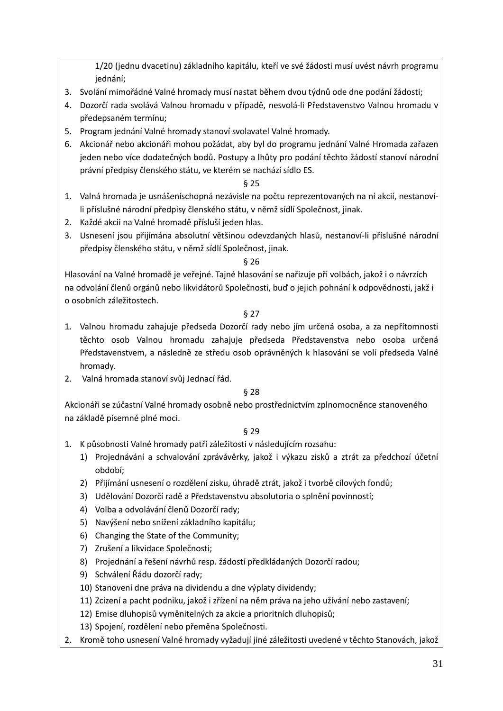1/20 (jednu dvacetinu) základního kapitálu, kteří ve své žádosti musí uvést návrh programu jednání;

- 3. Svolání mimořádné Valné hromady musí nastat během dvou týdnů ode dne podání žádosti;
- 4. Dozorčí rada svolává Valnou hromadu v případě, nesvolá-li Představenstvo Valnou hromadu v předepsaném termínu;
- 5. Program jednání Valné hromady stanoví svolavatel Valné hromady.
- 6. Akcionář nebo akcionáři mohou požádat, aby byl do programu jednání Valné Hromada zařazen jeden nebo více dodatečných bodů. Postupy a lhůty pro podání těchto žádostí stanoví národní právní předpisy členského státu, ve kterém se nachází sídlo ES.

# § 25

- 1. Valná hromada je usnášeníschopná nezávisle na počtu reprezentovaných na ní akcií, nestanovíli příslušné národní předpisy členského státu, v němž sídlí Společnost, jinak.
- 2. Každé akcii na Valné hromadě přísluší jeden hlas.
- 3. Usnesení jsou přijímána absolutní většinou odevzdaných hlasů, nestanoví-li příslušné národní předpisy členského státu, v němž sídlí Společnost, jinak.

### § 26

Hlasování na Valné hromadě je veřejné. Tajné hlasování se nařizuje při volbách, jakož i o návrzích na odvolání členů orgánů nebo likvidátorů Společnosti, buď o jejich pohnání k odpovědnosti, jakž i o osobních záležitostech.

§ 27

- 1. Valnou hromadu zahajuje předseda Dozorčí rady nebo jím určená osoba, a za nepřítomnosti těchto osob Valnou hromadu zahajuje předseda Představenstva nebo osoba určená Představenstvem, a následně ze středu osob oprávněných k hlasování se volí předseda Valné hromady.
- 2. Valná hromada stanoví svůj Jednací řád.

### § 28

Akcionáři se zúčastní Valné hromady osobně nebo prostřednictvím zplnomocněnce stanoveného na základě písemné plné moci.

- 1. K působnosti Valné hromady patří záležitosti v následujícím rozsahu:
	- 1) Projednávání a schvalování zprávávěrky, jakož i výkazu zisků a ztrát za předchozí účetní období;
	- 2) Přijímání usnesení o rozdělení zisku, úhradě ztrát, jakož i tvorbě cílových fondů;
	- 3) Udělování Dozorčí radě a Představenstvu absolutoria o splnění povinností;
	- 4) Volba a odvolávání členů Dozorčí rady;
	- 5) Navýšení nebo snížení základního kapitálu;
	- 6) Changing the State of the Community;
	- 7) Zrušení a likvidace Společnosti;
	- 8) Projednání a řešení návrhů resp. žádostí předkládaných Dozorčí radou;
	- 9) Schválení Řádu dozorčí rady;
	- 10) Stanovení dne práva na dividendu a dne výplaty dividendy;
	- 11) Zcizení a pacht podniku, jakož i zřízení na něm práva na jeho užívání nebo zastavení;
	- 12) Emise dluhopisů vyměnitelných za akcie a prioritních dluhopisů;
	- 13) Spojení, rozdělení nebo přeměna Společnosti.
- 2. Kromě toho usnesení Valné hromady vyžadují jiné záležitosti uvedené v těchto Stanovách, jakož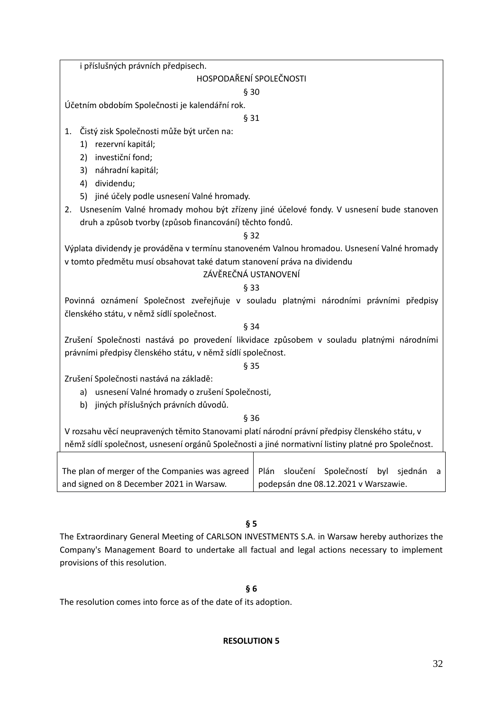i příslušných právních předpisech.

# HOSPODAŘENÍ SPOLEČNOSTI

§ 30

Účetním obdobím Společnosti je kalendářní rok.

§ 31

1. Čistý zisk Společnosti může být určen na:

- 1) rezervní kapitál;
- 2) investiční fond;
- 3) náhradní kapitál;
- 4) dividendu;
- 5) jiné účely podle usnesení Valné hromady.
- 2. Usnesením Valné hromady mohou být zřízeny jiné účelové fondy. V usnesení bude stanoven druh a způsob tvorby (způsob financování) těchto fondů.

# § 32

Výplata dividendy je prováděna v termínu stanoveném Valnou hromadou. Usnesení Valné hromady v tomto předmětu musí obsahovat také datum stanovení práva na dividendu

# ZÁVĚREČNÁ USTANOVENÍ

# § 33

Povinná oznámení Společnost zveřejňuje v souladu platnými národními právními předpisy členského státu, v němž sídlí společnost.

§ 34

Zrušení Společnosti nastává po provedení likvidace způsobem v souladu platnými národními právními předpisy členského státu, v němž sídlí společnost.

§ 35

Zrušení Společnosti nastává na základě:

- a) usnesení Valné hromady o zrušení Společnosti,
- b) jiných příslušných právních důvodů.
- § 36

V rozsahu věcí neupravených těmito Stanovami platí národní právní předpisy členského státu, v němž sídlí společnost, usnesení orgánů Společnosti a jiné normativní listiny platné pro Společnost.

| The plan of merger of the Companies was agreed   Plán sloučení Společností byl sjednán a |                                      |  |  |  |  |  |
|------------------------------------------------------------------------------------------|--------------------------------------|--|--|--|--|--|
| and signed on 8 December 2021 in Warsaw.                                                 | podepsán dne 08.12.2021 v Warszawie. |  |  |  |  |  |

**§ 5**

The Extraordinary General Meeting of CARLSON INVESTMENTS S.A. in Warsaw hereby authorizes the Company's Management Board to undertake all factual and legal actions necessary to implement provisions of this resolution.

# **§ 6**

The resolution comes into force as of the date of its adoption.

# **RESOLUTION 5**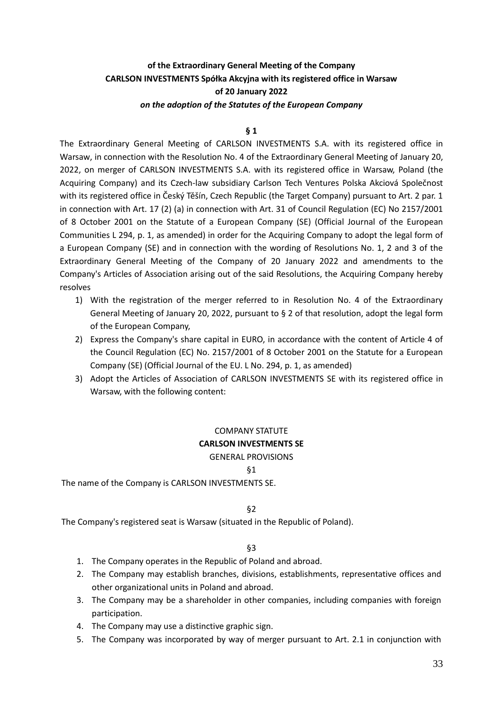# **of the Extraordinary General Meeting of the Company CARLSON INVESTMENTS Spółka Akcyjna with its registered office in Warsaw of 20 January 2022** *on the adoption of the Statutes of the European Company*

#### **§ 1**

The Extraordinary General Meeting of CARLSON INVESTMENTS S.A. with its registered office in Warsaw, in connection with the Resolution No. 4 of the Extraordinary General Meeting of January 20, 2022, on merger of CARLSON INVESTMENTS S.A. with its registered office in Warsaw, Poland (the Acquiring Company) and its Czech-law subsidiary Carlson Tech Ventures Polska Akciová Společnost with its registered office in Český Těšín, Czech Republic (the Target Company) pursuant to Art. 2 par. 1 in connection with Art. 17 (2) (a) in connection with Art. 31 of Council Regulation (EC) No 2157/2001 of 8 October 2001 on the Statute of a European Company (SE) (Official Journal of the European Communities L 294, p. 1, as amended) in order for the Acquiring Company to adopt the legal form of a European Company (SE) and in connection with the wording of Resolutions No. 1, 2 and 3 of the Extraordinary General Meeting of the Company of 20 January 2022 and amendments to the Company's Articles of Association arising out of the said Resolutions, the Acquiring Company hereby resolves

- 1) With the registration of the merger referred to in Resolution No. 4 of the Extraordinary General Meeting of January 20, 2022, pursuant to § 2 of that resolution, adopt the legal form of the European Company,
- 2) Express the Company's share capital in EURO, in accordance with the content of Article 4 of the Council Regulation (EC) No. 2157/2001 of 8 October 2001 on the Statute for a European Company (SE) (Official Journal of the EU. L No. 294, p. 1, as amended)
- 3) Adopt the Articles of Association of CARLSON INVESTMENTS SE with its registered office in Warsaw, with the following content:

# COMPANY STATUTE **CARLSON INVESTMENTS SE** GENERAL PROVISIONS

§1

The name of the Company is CARLSON INVESTMENTS SE.

§2

The Company's registered seat is Warsaw (situated in the Republic of Poland).

- 1. The Company operates in the Republic of Poland and abroad.
- 2. The Company may establish branches, divisions, establishments, representative offices and other organizational units in Poland and abroad.
- 3. The Company may be a shareholder in other companies, including companies with foreign participation.
- 4. The Company may use a distinctive graphic sign.
- 5. The Company was incorporated by way of merger pursuant to Art. 2.1 in conjunction with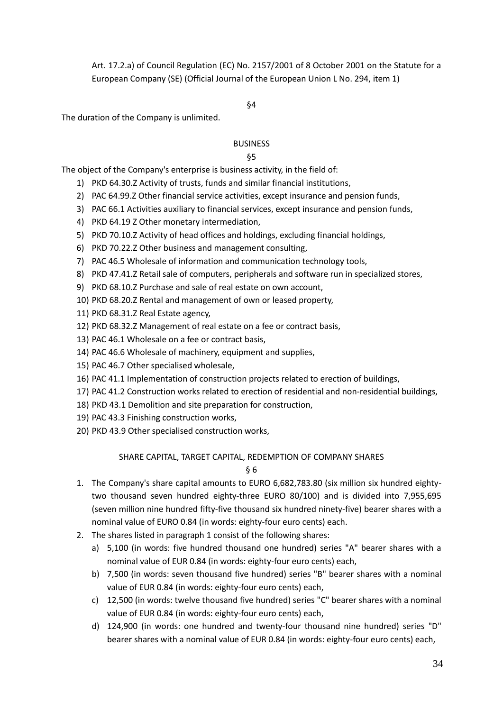Art. 17.2.a) of Council Regulation (EC) No. 2157/2001 of 8 October 2001 on the Statute for a European Company (SE) (Official Journal of the European Union L No. 294, item 1)

### §4

The duration of the Company is unlimited.

### BUSINESS

#### §5

The object of the Company's enterprise is business activity, in the field of:

- 1) PKD 64.30.Z Activity of trusts, funds and similar financial institutions,
- 2) PAC 64.99.Z Other financial service activities, except insurance and pension funds,
- 3) PAC 66.1 Activities auxiliary to financial services, except insurance and pension funds,
- 4) PKD 64.19 Z Other monetary intermediation,
- 5) PKD 70.10.Z Activity of head offices and holdings, excluding financial holdings,
- 6) PKD 70.22.Z Other business and management consulting,
- 7) PAC 46.5 Wholesale of information and communication technology tools,
- 8) PKD 47.41.Z Retail sale of computers, peripherals and software run in specialized stores,
- 9) PKD 68.10.Z Purchase and sale of real estate on own account,
- 10) PKD 68.20.Z Rental and management of own or leased property,
- 11) PKD 68.31.Z Real Estate agency,
- 12) PKD 68.32.Z Management of real estate on a fee or contract basis,
- 13) PAC 46.1 Wholesale on a fee or contract basis,
- 14) PAC 46.6 Wholesale of machinery, equipment and supplies,
- 15) PAC 46.7 Other specialised wholesale,
- 16) PAC 41.1 Implementation of construction projects related to erection of buildings,
- 17) PAC 41.2 Construction works related to erection of residential and non-residential buildings,
- 18) PKD 43.1 Demolition and site preparation for construction,
- 19) PAC 43.3 Finishing construction works,
- 20) PKD 43.9 Other specialised construction works,

### SHARE CAPITAL, TARGET CAPITAL, REDEMPTION OF COMPANY SHARES

- 1. The Company's share capital amounts to EURO 6,682,783.80 (six million six hundred eightytwo thousand seven hundred eighty-three EURO 80/100) and is divided into 7,955,695 (seven million nine hundred fifty-five thousand six hundred ninety-five) bearer shares with a nominal value of EURO 0.84 (in words: eighty-four euro cents) each.
- 2. The shares listed in paragraph 1 consist of the following shares:
	- a) 5,100 (in words: five hundred thousand one hundred) series "A" bearer shares with a nominal value of EUR 0.84 (in words: eighty-four euro cents) each,
	- b) 7,500 (in words: seven thousand five hundred) series "B" bearer shares with a nominal value of EUR 0.84 (in words: eighty-four euro cents) each,
	- c) 12,500 (in words: twelve thousand five hundred) series "C" bearer shares with a nominal value of EUR 0.84 (in words: eighty-four euro cents) each,
	- d) 124,900 (in words: one hundred and twenty-four thousand nine hundred) series "D" bearer shares with a nominal value of EUR 0.84 (in words: eighty-four euro cents) each,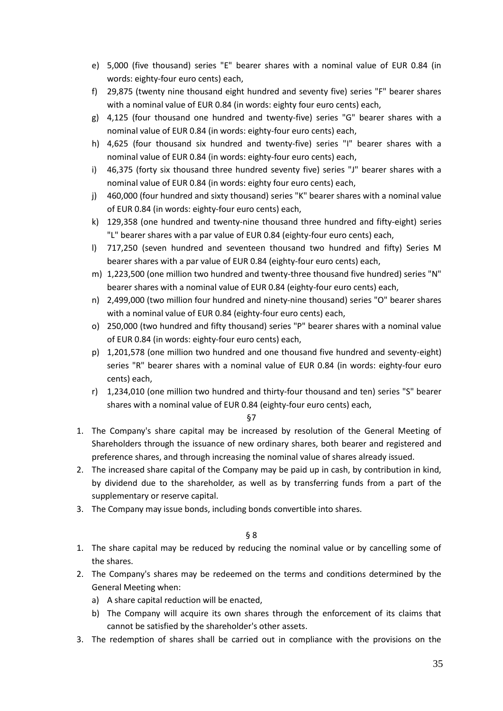- e) 5,000 (five thousand) series "E" bearer shares with a nominal value of EUR 0.84 (in words: eighty-four euro cents) each,
- f) 29,875 (twenty nine thousand eight hundred and seventy five) series "F" bearer shares with a nominal value of EUR 0.84 (in words: eighty four euro cents) each,
- g) 4,125 (four thousand one hundred and twenty-five) series "G" bearer shares with a nominal value of EUR 0.84 (in words: eighty-four euro cents) each,
- h) 4,625 (four thousand six hundred and twenty-five) series "I" bearer shares with a nominal value of EUR 0.84 (in words: eighty-four euro cents) each,
- i) 46,375 (forty six thousand three hundred seventy five) series "J" bearer shares with a nominal value of EUR 0.84 (in words: eighty four euro cents) each,
- j) 460,000 (four hundred and sixty thousand) series "K" bearer shares with a nominal value of EUR 0.84 (in words: eighty-four euro cents) each,
- k) 129,358 (one hundred and twenty-nine thousand three hundred and fifty-eight) series "L" bearer shares with a par value of EUR 0.84 (eighty-four euro cents) each,
- l) 717,250 (seven hundred and seventeen thousand two hundred and fifty) Series M bearer shares with a par value of EUR 0.84 (eighty-four euro cents) each,
- m) 1,223,500 (one million two hundred and twenty-three thousand five hundred) series "N" bearer shares with a nominal value of EUR 0.84 (eighty-four euro cents) each,
- n) 2,499,000 (two million four hundred and ninety-nine thousand) series "O" bearer shares with a nominal value of EUR 0.84 (eighty-four euro cents) each,
- o) 250,000 (two hundred and fifty thousand) series "P" bearer shares with a nominal value of EUR 0.84 (in words: eighty-four euro cents) each,
- p) 1,201,578 (one million two hundred and one thousand five hundred and seventy-eight) series "R" bearer shares with a nominal value of EUR 0.84 (in words: eighty-four euro cents) each,
- r) 1,234,010 (one million two hundred and thirty-four thousand and ten) series "S" bearer shares with a nominal value of EUR 0.84 (eighty-four euro cents) each,

§7

- 1. The Company's share capital may be increased by resolution of the General Meeting of Shareholders through the issuance of new ordinary shares, both bearer and registered and preference shares, and through increasing the nominal value of shares already issued.
- 2. The increased share capital of the Company may be paid up in cash, by contribution in kind, by dividend due to the shareholder, as well as by transferring funds from a part of the supplementary or reserve capital.
- 3. The Company may issue bonds, including bonds convertible into shares.

- 1. The share capital may be reduced by reducing the nominal value or by cancelling some of the shares.
- 2. The Company's shares may be redeemed on the terms and conditions determined by the General Meeting when:
	- a) A share capital reduction will be enacted,
	- b) The Company will acquire its own shares through the enforcement of its claims that cannot be satisfied by the shareholder's other assets.
- 3. The redemption of shares shall be carried out in compliance with the provisions on the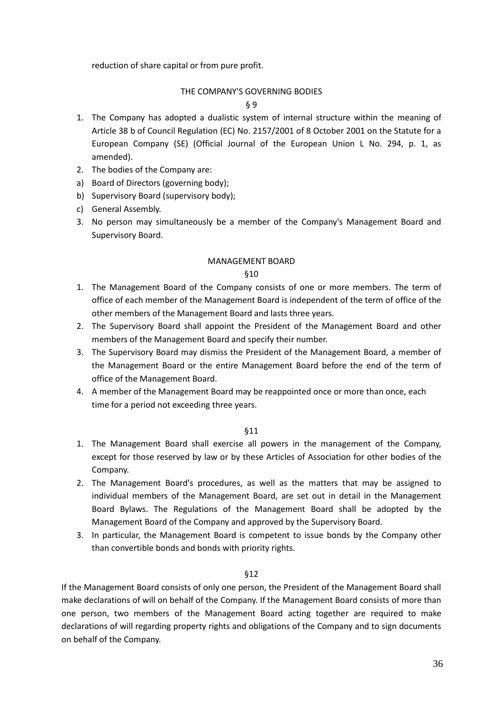reduction of share capital or from pure profit.

# THE COMPANY'S GOVERNING BODIES

### § 9

- 1. The Company has adopted a dualistic system of internal structure within the meaning of Article 38 b of Council Regulation (EC) No. 2157/2001 of 8 October 2001 on the Statute for a European Company (SE) (Official Journal of the European Union L No. 294, p. 1, as amended).
- 2. The bodies of the Company are:
- a) Board of Directors (governing body);
- b) Supervisory Board (supervisory body);
- c) General Assembly.
- 3. No person may simultaneously be a member of the Company's Management Board and Supervisory Board.

### MANAGEMENT BOARD

### §10

- 1. The Management Board of the Company consists of one or more members. The term of office of each member of the Management Board is independent of the term of office of the other members of the Management Board and lasts three years.
- 2. The Supervisory Board shall appoint the President of the Management Board and other members of the Management Board and specify their number.
- 3. The Supervisory Board may dismiss the President of the Management Board, a member of the Management Board or the entire Management Board before the end of the term of office of the Management Board.
- 4. A member of the Management Board may be reappointed once or more than once, each time for a period not exceeding three years.

### §11

- 1. The Management Board shall exercise all powers in the management of the Company, except for those reserved by law or by these Articles of Association for other bodies of the Company.
- 2. The Management Board's procedures, as well as the matters that may be assigned to individual members of the Management Board, are set out in detail in the Management Board Bylaws. The Regulations of the Management Board shall be adopted by the Management Board of the Company and approved by the Supervisory Board.
- 3. In particular, the Management Board is competent to issue bonds by the Company other than convertible bonds and bonds with priority rights.

### §12

If the Management Board consists of only one person, the President of the Management Board shall make declarations of will on behalf of the Company. If the Management Board consists of more than one person, two members of the Management Board acting together are required to make declarations of will regarding property rights and obligations of the Company and to sign documents on behalf of the Company.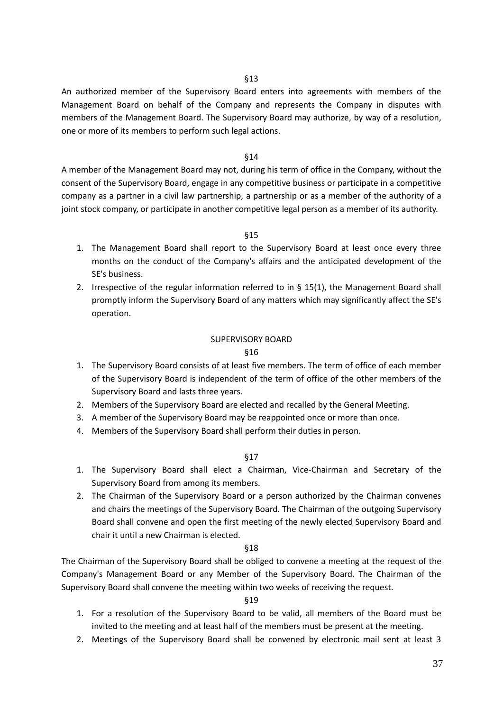§13

An authorized member of the Supervisory Board enters into agreements with members of the Management Board on behalf of the Company and represents the Company in disputes with members of the Management Board. The Supervisory Board may authorize, by way of a resolution, one or more of its members to perform such legal actions.

### §14

A member of the Management Board may not, during his term of office in the Company, without the consent of the Supervisory Board, engage in any competitive business or participate in a competitive company as a partner in a civil law partnership, a partnership or as a member of the authority of a joint stock company, or participate in another competitive legal person as a member of its authority.

#### §15

- 1. The Management Board shall report to the Supervisory Board at least once every three months on the conduct of the Company's affairs and the anticipated development of the SE's business.
- 2. Irrespective of the regular information referred to in  $\S$  15(1), the Management Board shall promptly inform the Supervisory Board of any matters which may significantly affect the SE's operation.

#### SUPERVISORY BOARD

#### §16

- 1. The Supervisory Board consists of at least five members. The term of office of each member of the Supervisory Board is independent of the term of office of the other members of the Supervisory Board and lasts three years.
- 2. Members of the Supervisory Board are elected and recalled by the General Meeting.
- 3. A member of the Supervisory Board may be reappointed once or more than once.
- 4. Members of the Supervisory Board shall perform their duties in person.

§17

- 1. The Supervisory Board shall elect a Chairman, Vice-Chairman and Secretary of the Supervisory Board from among its members.
- 2. The Chairman of the Supervisory Board or a person authorized by the Chairman convenes and chairs the meetings of the Supervisory Board. The Chairman of the outgoing Supervisory Board shall convene and open the first meeting of the newly elected Supervisory Board and chair it until a new Chairman is elected.

### §18

The Chairman of the Supervisory Board shall be obliged to convene a meeting at the request of the Company's Management Board or any Member of the Supervisory Board. The Chairman of the Supervisory Board shall convene the meeting within two weeks of receiving the request.

- 1. For a resolution of the Supervisory Board to be valid, all members of the Board must be invited to the meeting and at least half of the members must be present at the meeting.
- 2. Meetings of the Supervisory Board shall be convened by electronic mail sent at least 3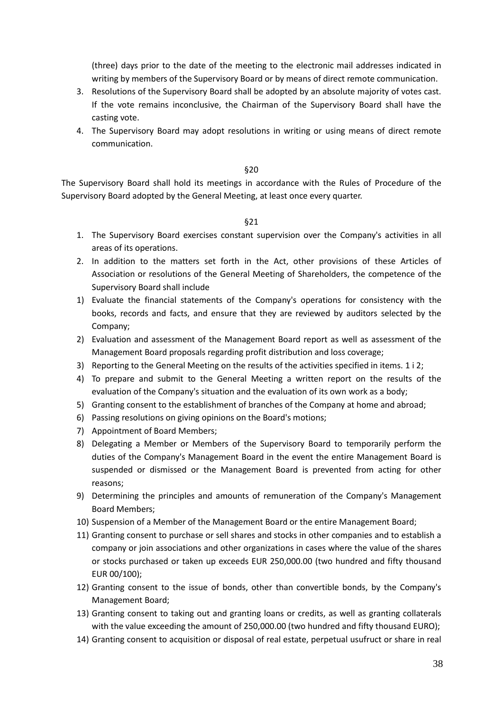(three) days prior to the date of the meeting to the electronic mail addresses indicated in writing by members of the Supervisory Board or by means of direct remote communication.

- 3. Resolutions of the Supervisory Board shall be adopted by an absolute majority of votes cast. If the vote remains inconclusive, the Chairman of the Supervisory Board shall have the casting vote.
- 4. The Supervisory Board may adopt resolutions in writing or using means of direct remote communication.

#### §20

The Supervisory Board shall hold its meetings in accordance with the Rules of Procedure of the Supervisory Board adopted by the General Meeting, at least once every quarter.

- 1. The Supervisory Board exercises constant supervision over the Company's activities in all areas of its operations.
- 2. In addition to the matters set forth in the Act, other provisions of these Articles of Association or resolutions of the General Meeting of Shareholders, the competence of the Supervisory Board shall include
- 1) Evaluate the financial statements of the Company's operations for consistency with the books, records and facts, and ensure that they are reviewed by auditors selected by the Company;
- 2) Evaluation and assessment of the Management Board report as well as assessment of the Management Board proposals regarding profit distribution and loss coverage;
- 3) Reporting to the General Meeting on the results of the activities specified in items. 1 i 2;
- 4) To prepare and submit to the General Meeting a written report on the results of the evaluation of the Company's situation and the evaluation of its own work as a body;
- 5) Granting consent to the establishment of branches of the Company at home and abroad;
- 6) Passing resolutions on giving opinions on the Board's motions;
- 7) Appointment of Board Members;
- 8) Delegating a Member or Members of the Supervisory Board to temporarily perform the duties of the Company's Management Board in the event the entire Management Board is suspended or dismissed or the Management Board is prevented from acting for other reasons;
- 9) Determining the principles and amounts of remuneration of the Company's Management Board Members;
- 10) Suspension of a Member of the Management Board or the entire Management Board;
- 11) Granting consent to purchase or sell shares and stocks in other companies and to establish a company or join associations and other organizations in cases where the value of the shares or stocks purchased or taken up exceeds EUR 250,000.00 (two hundred and fifty thousand EUR 00/100);
- 12) Granting consent to the issue of bonds, other than convertible bonds, by the Company's Management Board;
- 13) Granting consent to taking out and granting loans or credits, as well as granting collaterals with the value exceeding the amount of 250,000.00 (two hundred and fifty thousand EURO);
- 14) Granting consent to acquisition or disposal of real estate, perpetual usufruct or share in real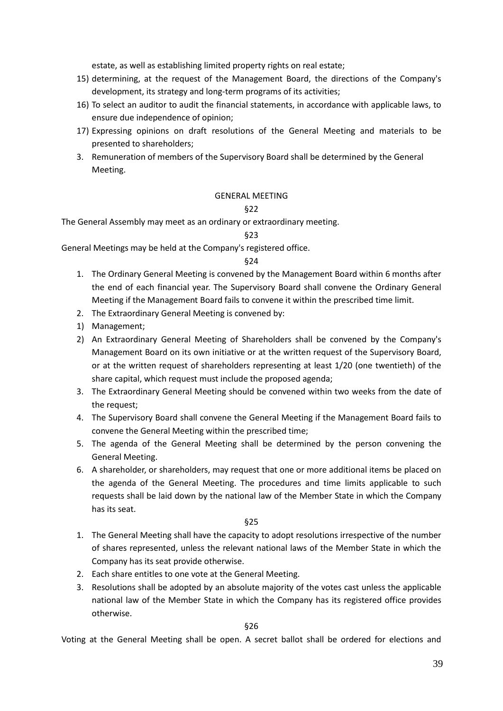estate, as well as establishing limited property rights on real estate;

- 15) determining, at the request of the Management Board, the directions of the Company's development, its strategy and long-term programs of its activities;
- 16) To select an auditor to audit the financial statements, in accordance with applicable laws, to ensure due independence of opinion;
- 17) Expressing opinions on draft resolutions of the General Meeting and materials to be presented to shareholders;
- 3. Remuneration of members of the Supervisory Board shall be determined by the General Meeting.

### GENERAL MEETING

### §22

The General Assembly may meet as an ordinary or extraordinary meeting.

### §23

General Meetings may be held at the Company's registered office.

### §24

- 1. The Ordinary General Meeting is convened by the Management Board within 6 months after the end of each financial year. The Supervisory Board shall convene the Ordinary General Meeting if the Management Board fails to convene it within the prescribed time limit.
- 2. The Extraordinary General Meeting is convened by:
- 1) Management;
- 2) An Extraordinary General Meeting of Shareholders shall be convened by the Company's Management Board on its own initiative or at the written request of the Supervisory Board, or at the written request of shareholders representing at least 1/20 (one twentieth) of the share capital, which request must include the proposed agenda;
- 3. The Extraordinary General Meeting should be convened within two weeks from the date of the request;
- 4. The Supervisory Board shall convene the General Meeting if the Management Board fails to convene the General Meeting within the prescribed time;
- 5. The agenda of the General Meeting shall be determined by the person convening the General Meeting.
- 6. A shareholder, or shareholders, may request that one or more additional items be placed on the agenda of the General Meeting. The procedures and time limits applicable to such requests shall be laid down by the national law of the Member State in which the Company has its seat.

§25

- 1. The General Meeting shall have the capacity to adopt resolutions irrespective of the number of shares represented, unless the relevant national laws of the Member State in which the Company has its seat provide otherwise.
- 2. Each share entitles to one vote at the General Meeting.
- 3. Resolutions shall be adopted by an absolute majority of the votes cast unless the applicable national law of the Member State in which the Company has its registered office provides otherwise.

§26

Voting at the General Meeting shall be open. A secret ballot shall be ordered for elections and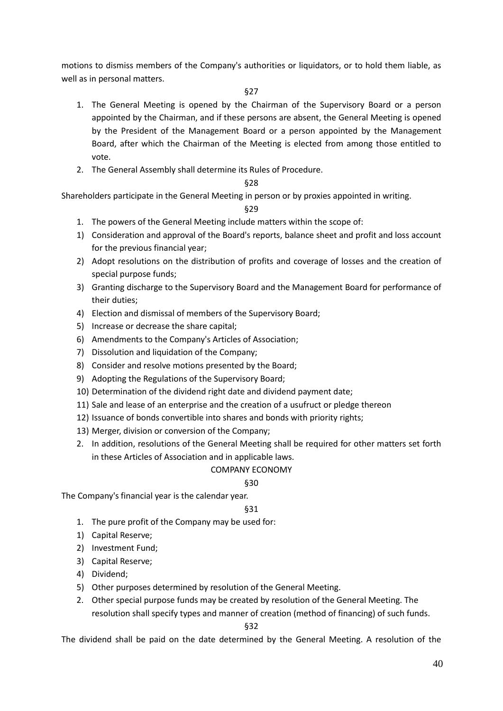motions to dismiss members of the Company's authorities or liquidators, or to hold them liable, as well as in personal matters.

### §27

- 1. The General Meeting is opened by the Chairman of the Supervisory Board or a person appointed by the Chairman, and if these persons are absent, the General Meeting is opened by the President of the Management Board or a person appointed by the Management Board, after which the Chairman of the Meeting is elected from among those entitled to vote.
- 2. The General Assembly shall determine its Rules of Procedure.

# §28

Shareholders participate in the General Meeting in person or by proxies appointed in writing.

### §29

- 1. The powers of the General Meeting include matters within the scope of:
- 1) Consideration and approval of the Board's reports, balance sheet and profit and loss account for the previous financial year;
- 2) Adopt resolutions on the distribution of profits and coverage of losses and the creation of special purpose funds;
- 3) Granting discharge to the Supervisory Board and the Management Board for performance of their duties;
- 4) Election and dismissal of members of the Supervisory Board;
- 5) Increase or decrease the share capital;
- 6) Amendments to the Company's Articles of Association;
- 7) Dissolution and liquidation of the Company;
- 8) Consider and resolve motions presented by the Board;
- 9) Adopting the Regulations of the Supervisory Board;
- 10) Determination of the dividend right date and dividend payment date;
- 11) Sale and lease of an enterprise and the creation of a usufruct or pledge thereon
- 12) Issuance of bonds convertible into shares and bonds with priority rights;
- 13) Merger, division or conversion of the Company;
- 2. In addition, resolutions of the General Meeting shall be required for other matters set forth in these Articles of Association and in applicable laws.

# COMPANY ECONOMY

### §30

The Company's financial year is the calendar year.

### §31

- 1. The pure profit of the Company may be used for:
- 1) Capital Reserve;
- 2) Investment Fund;
- 3) Capital Reserve;
- 4) Dividend;
- 5) Other purposes determined by resolution of the General Meeting.
- 2. Other special purpose funds may be created by resolution of the General Meeting. The resolution shall specify types and manner of creation (method of financing) of such funds.

§32

The dividend shall be paid on the date determined by the General Meeting. A resolution of the